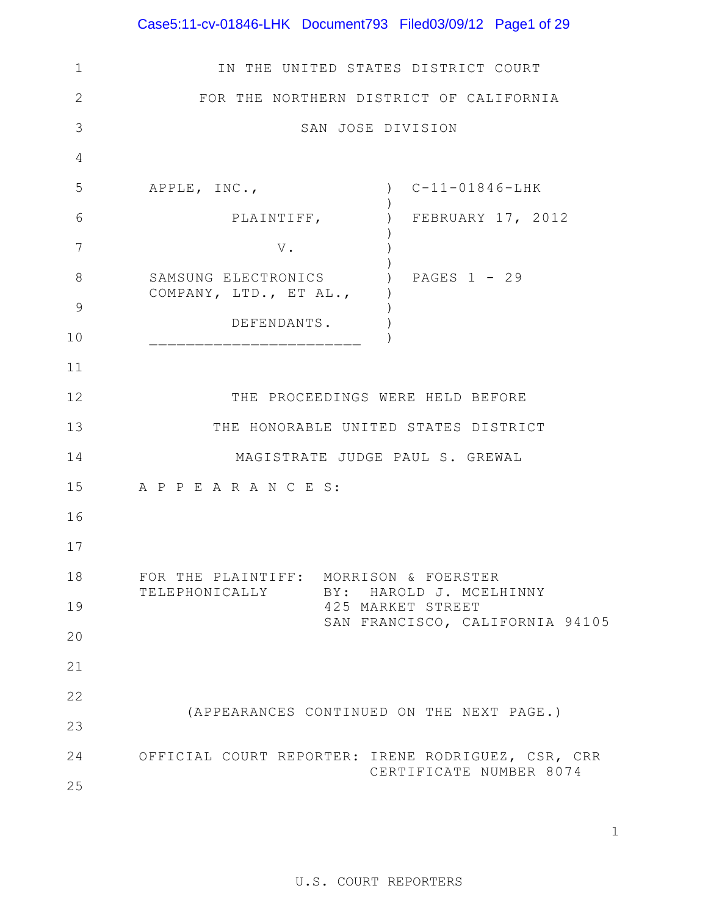# Case5:11-cv-01846-LHK Document793 Filed03/09/12 Page1 of 29

| $\mathbf 1$  | IN THE UNITED STATES DISTRICT COURT                            |  |  |  |  |  |  |  |
|--------------|----------------------------------------------------------------|--|--|--|--|--|--|--|
| $\mathbf{2}$ | FOR THE NORTHERN DISTRICT OF CALIFORNIA                        |  |  |  |  |  |  |  |
| 3            | SAN JOSE DIVISION                                              |  |  |  |  |  |  |  |
| 4            |                                                                |  |  |  |  |  |  |  |
| 5            | $C-11-01846-LHK$<br>APPLE, INC.,<br>$\left( \right)$           |  |  |  |  |  |  |  |
| 6            | FEBRUARY 17, 2012<br>PLAINTIFF,                                |  |  |  |  |  |  |  |
| 7            | $\mathbf V$ .                                                  |  |  |  |  |  |  |  |
| 8<br>9       | SAMSUNG ELECTRONICS<br>PAGES 1 - 29<br>COMPANY, LTD., ET AL.,  |  |  |  |  |  |  |  |
| 10           | DEFENDANTS.                                                    |  |  |  |  |  |  |  |
| 11           |                                                                |  |  |  |  |  |  |  |
| 12           | THE PROCEEDINGS WERE HELD BEFORE                               |  |  |  |  |  |  |  |
| 13           | THE HONORABLE UNITED STATES DISTRICT                           |  |  |  |  |  |  |  |
| 14           | MAGISTRATE JUDGE PAUL S. GREWAL                                |  |  |  |  |  |  |  |
| 15           | A P P E A R A N C E S:                                         |  |  |  |  |  |  |  |
| 16           |                                                                |  |  |  |  |  |  |  |
| 17           |                                                                |  |  |  |  |  |  |  |
| 18           | FOR THE PLAINTIFF: MORRISON & FOERSTER                         |  |  |  |  |  |  |  |
| 19           | TELEPHONICALLY<br>BY: HAROLD J. MCELHINNY<br>425 MARKET STREET |  |  |  |  |  |  |  |
| 20           | SAN FRANCISCO, CALIFORNIA 94105                                |  |  |  |  |  |  |  |
| 21           |                                                                |  |  |  |  |  |  |  |
| 22           |                                                                |  |  |  |  |  |  |  |
| 23           | (APPEARANCES CONTINUED ON THE NEXT PAGE.)                      |  |  |  |  |  |  |  |
| 24           | OFFICIAL COURT REPORTER: IRENE RODRIGUEZ, CSR, CRR             |  |  |  |  |  |  |  |
| 25           | CERTIFICATE NUMBER 8074                                        |  |  |  |  |  |  |  |

1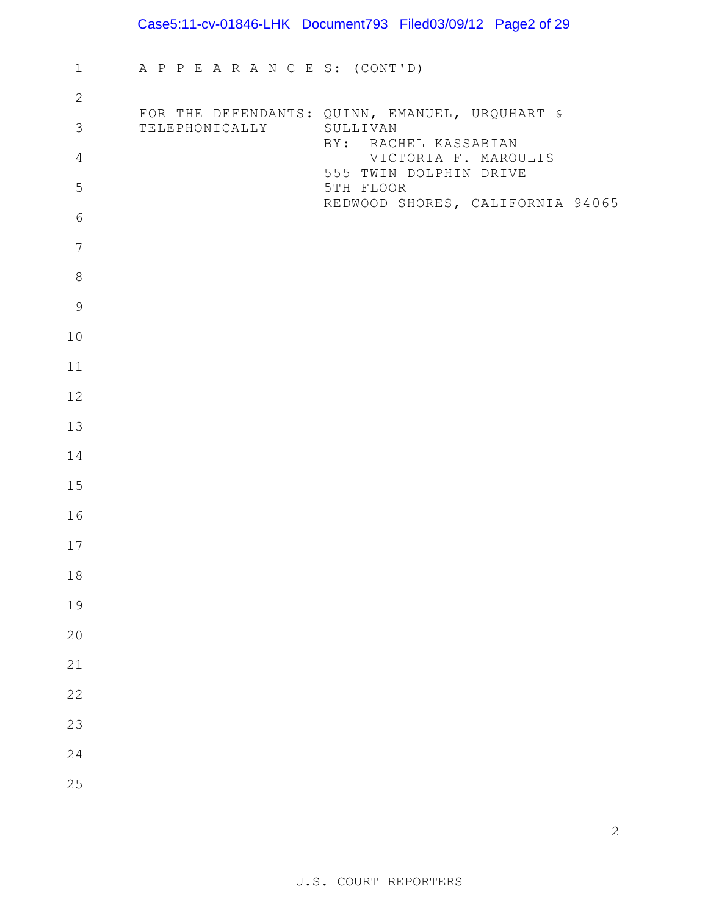# Case5:11-cv-01846-LHK Document793 Filed03/09/12 Page2 of 29

| $\mathbf 1$     | A P P E A R A N C E S: (CONT'D) |                                                                        |
|-----------------|---------------------------------|------------------------------------------------------------------------|
| $\mathbf{2}$    |                                 |                                                                        |
| $\mathfrak{Z}$  | TELEPHONICALLY SULLIVAN         | FOR THE DEFENDANTS: QUINN, EMANUEL, URQUHART &<br>BY: RACHEL KASSABIAN |
| $\overline{4}$  |                                 | VICTORIA F. MAROULIS<br>555 TWIN DOLPHIN DRIVE                         |
| 5               |                                 | 5TH FLOOR<br>REDWOOD SHORES, CALIFORNIA 94065                          |
| $6\,$           |                                 |                                                                        |
| $7\phantom{.0}$ |                                 |                                                                        |
| $\,8\,$         |                                 |                                                                        |
| $\mathsf 9$     |                                 |                                                                        |
| 10              |                                 |                                                                        |
| 11              |                                 |                                                                        |
| 12              |                                 |                                                                        |
| 13              |                                 |                                                                        |
| 14              |                                 |                                                                        |
| 15              |                                 |                                                                        |
| 16              |                                 |                                                                        |
| 17              |                                 |                                                                        |
| 18              |                                 |                                                                        |
| 19              |                                 |                                                                        |
| 20              |                                 |                                                                        |
| 21              |                                 |                                                                        |
| 22              |                                 |                                                                        |
| 23              |                                 |                                                                        |
| 24              |                                 |                                                                        |
| 25              |                                 |                                                                        |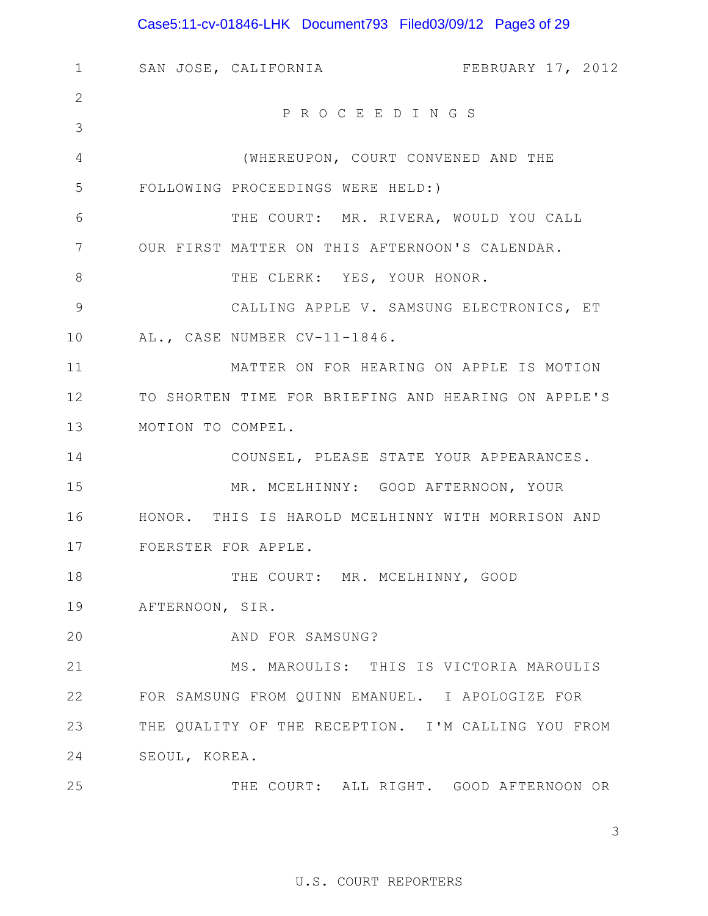# Case5:11-cv-01846-LHK Document793 Filed03/09/12 Page3 of 29

| SAN JOSE, CALIFORNIA<br>FEBRUARY 17, 2012           |
|-----------------------------------------------------|
|                                                     |
| PROCEEDINGS                                         |
| (WHEREUPON, COURT CONVENED AND THE                  |
| FOLLOWING PROCEEDINGS WERE HELD:)                   |
| THE COURT: MR. RIVERA, WOULD YOU CALL               |
| OUR FIRST MATTER ON THIS AFTERNOON'S CALENDAR.      |
| THE CLERK: YES, YOUR HONOR.                         |
| CALLING APPLE V. SAMSUNG ELECTRONICS, ET            |
| AL., CASE NUMBER CV-11-1846.                        |
| MATTER ON FOR HEARING ON APPLE IS MOTION            |
| TO SHORTEN TIME FOR BRIEFING AND HEARING ON APPLE'S |
| MOTION TO COMPEL.                                   |
| COUNSEL, PLEASE STATE YOUR APPEARANCES.             |
| MR. MCELHINNY: GOOD AFTERNOON, YOUR                 |
| HONOR. THIS IS HAROLD MCELHINNY WITH MORRISON AND   |
| FOERSTER FOR APPLE.                                 |
| THE COURT: MR. MCELHINNY, GOOD                      |
| AFTERNOON, SIR.                                     |
| AND FOR SAMSUNG?                                    |
| MS. MAROULIS: THIS IS VICTORIA MAROULIS             |
| FOR SAMSUNG FROM QUINN EMANUEL. I APOLOGIZE FOR     |
| THE QUALITY OF THE RECEPTION. I'M CALLING YOU FROM  |
| SEOUL, KOREA.                                       |
| THE COURT: ALL RIGHT. GOOD AFTERNOON OR             |
|                                                     |

3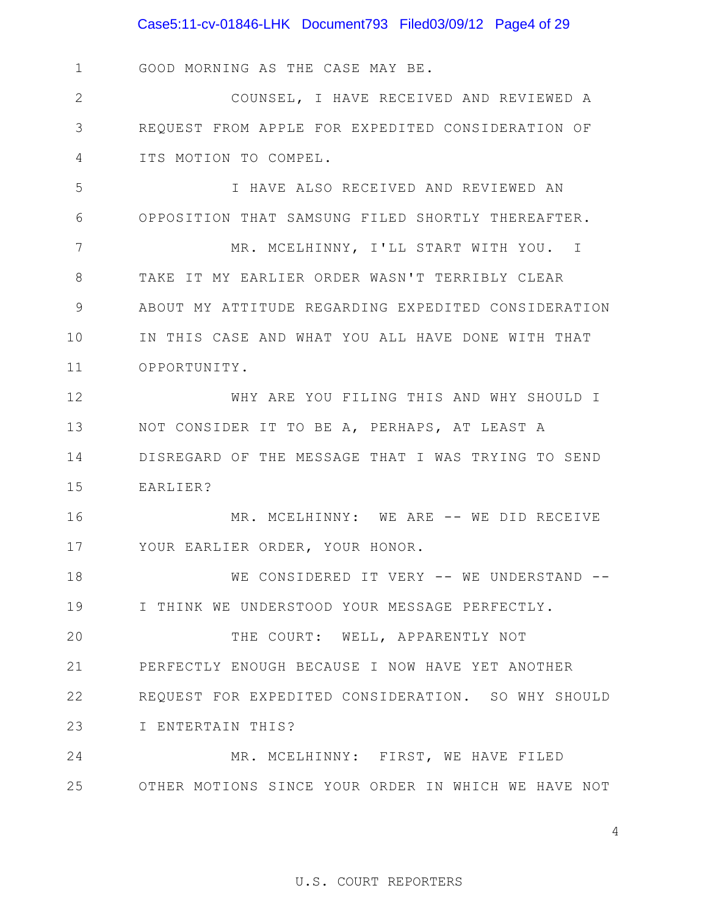1 GOOD MORNING AS THE CASE MAY BE.

2 3 4 COUNSEL, I HAVE RECEIVED AND REVIEWED A REQUEST FROM APPLE FOR EXPEDITED CONSIDERATION OF ITS MOTION TO COMPEL.

5 6 I HAVE ALSO RECEIVED AND REVIEWED AN OPPOSITION THAT SAMSUNG FILED SHORTLY THEREAFTER.

7 8 9 10 11 MR. MCELHINNY, I'LL START WITH YOU. I TAKE IT MY EARLIER ORDER WASN'T TERRIBLY CLEAR ABOUT MY ATTITUDE REGARDING EXPEDITED CONSIDERATION IN THIS CASE AND WHAT YOU ALL HAVE DONE WITH THAT OPPORTUNITY.

12 13 14 15 WHY ARE YOU FILING THIS AND WHY SHOULD I NOT CONSIDER IT TO BE A, PERHAPS, AT LEAST A DISREGARD OF THE MESSAGE THAT I WAS TRYING TO SEND EARLIER?

16 17 MR. MCELHINNY: WE ARE -- WE DID RECEIVE YOUR EARLIER ORDER, YOUR HONOR.

18 19 WE CONSIDERED IT VERY -- WE UNDERSTAND --I THINK WE UNDERSTOOD YOUR MESSAGE PERFECTLY.

20 21 22 23 THE COURT: WELL, APPARENTLY NOT PERFECTLY ENOUGH BECAUSE I NOW HAVE YET ANOTHER REQUEST FOR EXPEDITED CONSIDERATION. SO WHY SHOULD I ENTERTAIN THIS?

24 25 OTHER MOTIONS SINCE YOUR ORDER IN WHICH WE HAVE NOT MR. MCELHINNY: FIRST, WE HAVE FILED

4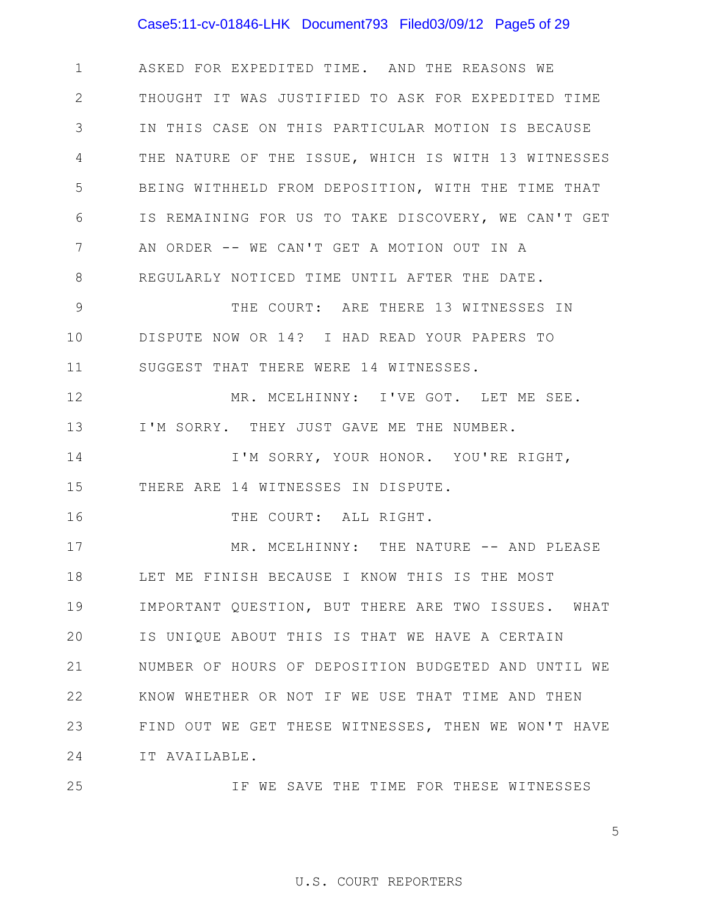## Case5:11-cv-01846-LHK Document793 Filed03/09/12 Page5 of 29

1 2 3 4 5 6 7 8 ASKED FOR EXPEDITED TIME. AND THE REASONS WE THOUGHT IT WAS JUSTIFIED TO ASK FOR EXPEDITED TIME IN THIS CASE ON THIS PARTICULAR MOTION IS BECAUSE THE NATURE OF THE ISSUE, WHICH IS WITH 13 WITNESSES BEING WITHHELD FROM DEPOSITION, WITH THE TIME THAT IS REMAINING FOR US TO TAKE DISCOVERY, WE CAN'T GET AN ORDER -- WE CAN'T GET A MOTION OUT IN A REGULARLY NOTICED TIME UNTIL AFTER THE DATE.

9 10 11 THE COURT: ARE THERE 13 WITNESSES IN DISPUTE NOW OR 14? I HAD READ YOUR PAPERS TO SUGGEST THAT THERE WERE 14 WITNESSES.

12 13 MR. MCELHINNY: I'VE GOT. LET ME SEE. I'M SORRY. THEY JUST GAVE ME THE NUMBER.

14 15 I'M SORRY, YOUR HONOR. YOU'RE RIGHT, THERE ARE 14 WITNESSES IN DISPUTE.

16 THE COURT: ALL RIGHT.

17 18 19 20 21 22 23 24 MR. MCELHINNY: THE NATURE -- AND PLEASE LET ME FINISH BECAUSE I KNOW THIS IS THE MOST IMPORTANT QUESTION, BUT THERE ARE TWO ISSUES. WHAT IS UNIQUE ABOUT THIS IS THAT WE HAVE A CERTAIN NUMBER OF HOURS OF DEPOSITION BUDGETED AND UNTIL WE KNOW WHETHER OR NOT IF WE USE THAT TIME AND THEN FIND OUT WE GET THESE WITNESSES, THEN WE WON'T HAVE IT AVAILABLE.

25

IF WE SAVE THE TIME FOR THESE WITNESSES

5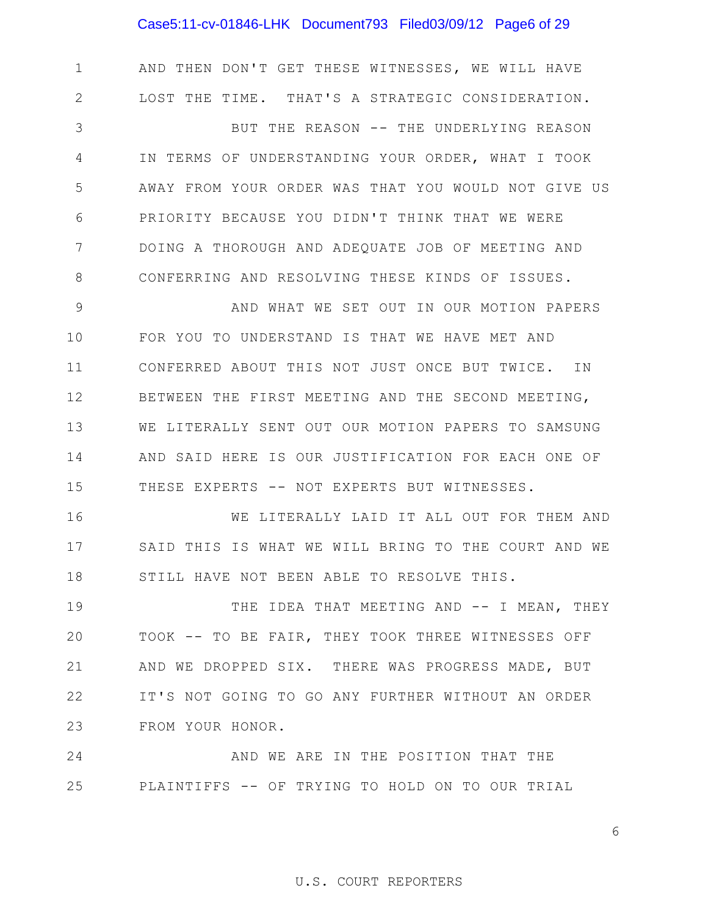## Case5:11-cv-01846-LHK Document793 Filed03/09/12 Page6 of 29

1 2 3 4 5 6 7 8 9 10 11 12 13 14 15 16 17 18 AND THEN DON'T GET THESE WITNESSES, WE WILL HAVE LOST THE TIME. THAT'S A STRATEGIC CONSIDERATION. BUT THE REASON -- THE UNDERLYING REASON IN TERMS OF UNDERSTANDING YOUR ORDER, WHAT I TOOK AWAY FROM YOUR ORDER WAS THAT YOU WOULD NOT GIVE US PRIORITY BECAUSE YOU DIDN'T THINK THAT WE WERE DOING A THOROUGH AND ADEQUATE JOB OF MEETING AND CONFERRING AND RESOLVING THESE KINDS OF ISSUES. AND WHAT WE SET OUT IN OUR MOTION PAPERS FOR YOU TO UNDERSTAND IS THAT WE HAVE MET AND CONFERRED ABOUT THIS NOT JUST ONCE BUT TWICE. IN BETWEEN THE FIRST MEETING AND THE SECOND MEETING, WE LITERALLY SENT OUT OUR MOTION PAPERS TO SAMSUNG AND SAID HERE IS OUR JUSTIFICATION FOR EACH ONE OF THESE EXPERTS -- NOT EXPERTS BUT WITNESSES. WE LITERALLY LAID IT ALL OUT FOR THEM AND SAID THIS IS WHAT WE WILL BRING TO THE COURT AND WE STILL HAVE NOT BEEN ABLE TO RESOLVE THIS.

19 20 21 22 23 THE IDEA THAT MEETING AND -- I MEAN, THEY TOOK -- TO BE FAIR, THEY TOOK THREE WITNESSES OFF AND WE DROPPED SIX. THERE WAS PROGRESS MADE, BUT IT'S NOT GOING TO GO ANY FURTHER WITHOUT AN ORDER FROM YOUR HONOR.

24 25 AND WE ARE IN THE POSITION THAT THE PLAINTIFFS -- OF TRYING TO HOLD ON TO OUR TRIAL

6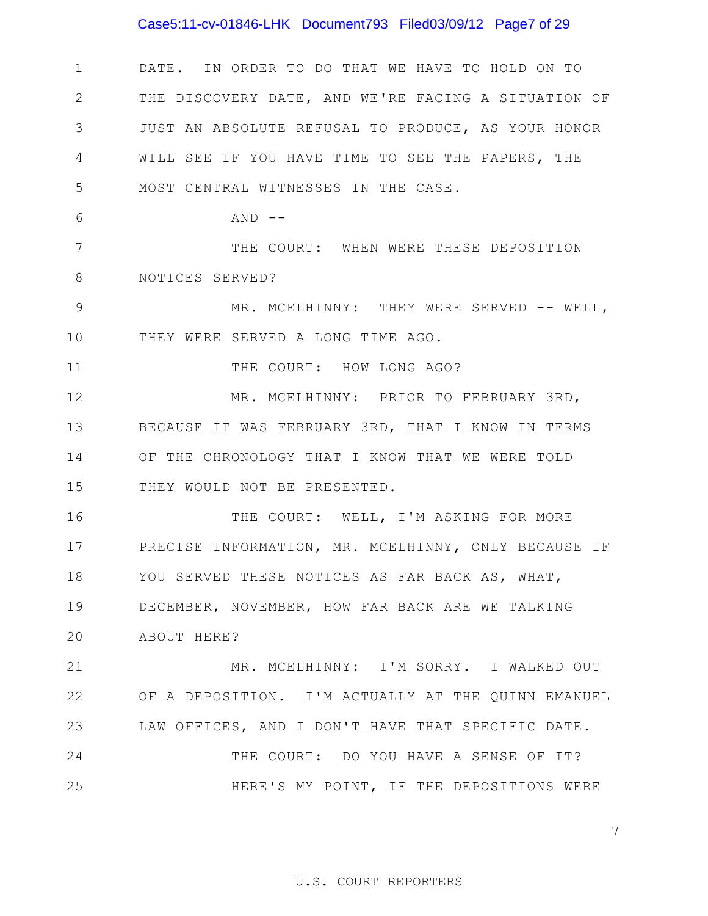## Case5:11-cv-01846-LHK Document793 Filed03/09/12 Page7 of 29

1 2 3 4 5 DATE. IN ORDER TO DO THAT WE HAVE TO HOLD ON TO THE DISCOVERY DATE, AND WE'RE FACING A SITUATION OF JUST AN ABSOLUTE REFUSAL TO PRODUCE, AS YOUR HONOR WILL SEE IF YOU HAVE TIME TO SEE THE PAPERS, THE MOST CENTRAL WITNESSES IN THE CASE.

 $AND$   $-$ 

6

7 8 THE COURT: WHEN WERE THESE DEPOSITION NOTICES SERVED?

9 10 MR. MCELHINNY: THEY WERE SERVED -- WELL, THEY WERE SERVED A LONG TIME AGO.

11 THE COURT: HOW LONG AGO?

12 13 14 15 MR. MCELHINNY: PRIOR TO FEBRUARY 3RD, BECAUSE IT WAS FEBRUARY 3RD, THAT I KNOW IN TERMS OF THE CHRONOLOGY THAT I KNOW THAT WE WERE TOLD THEY WOULD NOT BE PRESENTED.

16 17 18 19 20 THE COURT: WELL, I'M ASKING FOR MORE PRECISE INFORMATION, MR. MCELHINNY, ONLY BECAUSE IF YOU SERVED THESE NOTICES AS FAR BACK AS, WHAT, DECEMBER, NOVEMBER, HOW FAR BACK ARE WE TALKING ABOUT HERE?

21 22 23 MR. MCELHINNY: I'M SORRY. I WALKED OUT OF A DEPOSITION. I'M ACTUALLY AT THE QUINN EMANUEL LAW OFFICES, AND I DON'T HAVE THAT SPECIFIC DATE.

24 25 THE COURT: DO YOU HAVE A SENSE OF IT? HERE'S MY POINT, IF THE DEPOSITIONS WERE

7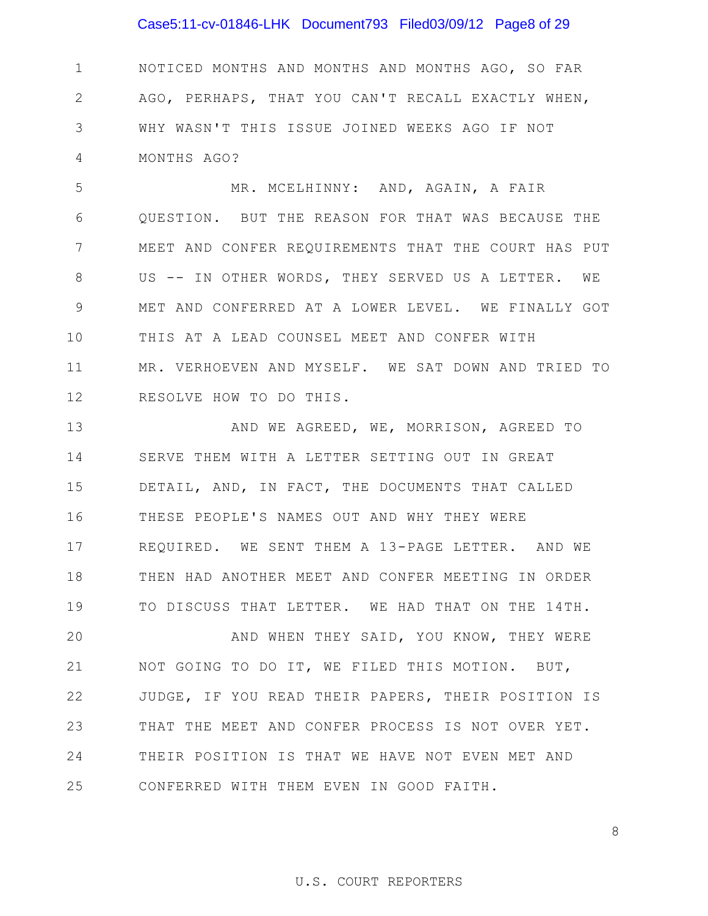## Case5:11-cv-01846-LHK Document793 Filed03/09/12 Page8 of 29

1 2 3 4 NOTICED MONTHS AND MONTHS AND MONTHS AGO, SO FAR AGO, PERHAPS, THAT YOU CAN'T RECALL EXACTLY WHEN, WHY WASN'T THIS ISSUE JOINED WEEKS AGO IF NOT MONTHS AGO?

5 6 7 8 9 10 11 12 MR. MCELHINNY: AND, AGAIN, A FAIR QUESTION. BUT THE REASON FOR THAT WAS BECAUSE THE MEET AND CONFER REQUIREMENTS THAT THE COURT HAS PUT US -- IN OTHER WORDS, THEY SERVED US A LETTER. WE MET AND CONFERRED AT A LOWER LEVEL. WE FINALLY GOT THIS AT A LEAD COUNSEL MEET AND CONFER WITH MR. VERHOEVEN AND MYSELF. WE SAT DOWN AND TRIED TO RESOLVE HOW TO DO THIS.

13 14 15 16 17 18 19 AND WE AGREED, WE, MORRISON, AGREED TO SERVE THEM WITH A LETTER SETTING OUT IN GREAT DETAIL, AND, IN FACT, THE DOCUMENTS THAT CALLED THESE PEOPLE'S NAMES OUT AND WHY THEY WERE REQUIRED. WE SENT THEM A 13-PAGE LETTER. AND WE THEN HAD ANOTHER MEET AND CONFER MEETING IN ORDER TO DISCUSS THAT LETTER. WE HAD THAT ON THE 14TH.

20 21 22 23 24 25 AND WHEN THEY SAID, YOU KNOW, THEY WERE NOT GOING TO DO IT, WE FILED THIS MOTION. BUT, JUDGE, IF YOU READ THEIR PAPERS, THEIR POSITION IS THAT THE MEET AND CONFER PROCESS IS NOT OVER YET. THEIR POSITION IS THAT WE HAVE NOT EVEN MET AND CONFERRED WITH THEM EVEN IN GOOD FAITH.

## U.S. COURT REPORTERS

8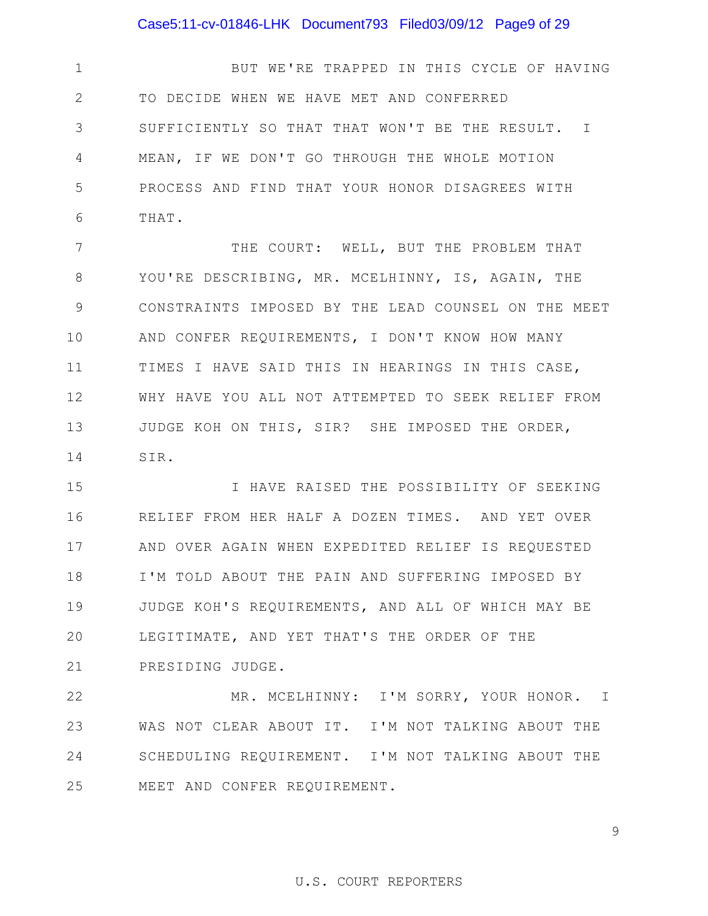## Case5:11-cv-01846-LHK Document793 Filed03/09/12 Page9 of 29

1 2 3 4 5 6 BUT WE'RE TRAPPED IN THIS CYCLE OF HAVING TO DECIDE WHEN WE HAVE MET AND CONFERRED SUFFICIENTLY SO THAT THAT WON'T BE THE RESULT. I MEAN, IF WE DON'T GO THROUGH THE WHOLE MOTION PROCESS AND FIND THAT YOUR HONOR DISAGREES WITH THAT.

7 8 9 10 11 12 13 14 THE COURT: WELL, BUT THE PROBLEM THAT YOU'RE DESCRIBING, MR. MCELHINNY, IS, AGAIN, THE CONSTRAINTS IMPOSED BY THE LEAD COUNSEL ON THE MEET AND CONFER REQUIREMENTS, I DON'T KNOW HOW MANY TIMES I HAVE SAID THIS IN HEARINGS IN THIS CASE, WHY HAVE YOU ALL NOT ATTEMPTED TO SEEK RELIEF FROM JUDGE KOH ON THIS, SIR? SHE IMPOSED THE ORDER, SIR.

15 16 17 18 19 20 21 I HAVE RAISED THE POSSIBILITY OF SEEKING RELIEF FROM HER HALF A DOZEN TIMES. AND YET OVER AND OVER AGAIN WHEN EXPEDITED RELIEF IS REQUESTED I'M TOLD ABOUT THE PAIN AND SUFFERING IMPOSED BY JUDGE KOH'S REQUIREMENTS, AND ALL OF WHICH MAY BE LEGITIMATE, AND YET THAT'S THE ORDER OF THE PRESIDING JUDGE.

22 23 24 25 MR. MCELHINNY: I'M SORRY, YOUR HONOR. I WAS NOT CLEAR ABOUT IT. I'M NOT TALKING ABOUT THE SCHEDULING REQUIREMENT. I'M NOT TALKING ABOUT THE MEET AND CONFER REQUIREMENT.

## 9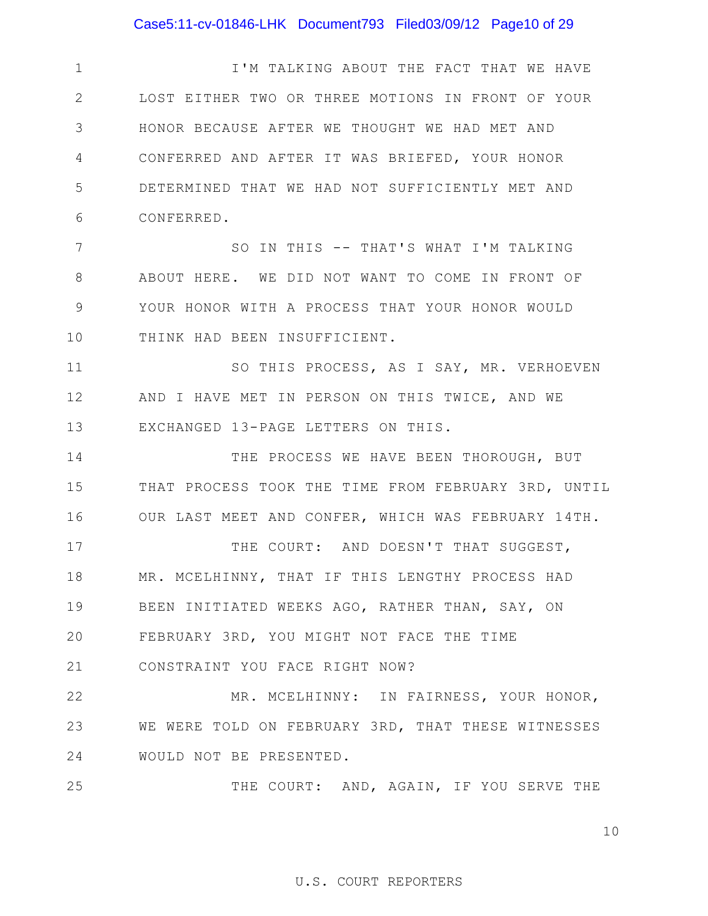## Case5:11-cv-01846-LHK Document793 Filed03/09/12 Page10 of 29

1 2 3 4 5 6 I'M TALKING ABOUT THE FACT THAT WE HAVE LOST EITHER TWO OR THREE MOTIONS IN FRONT OF YOUR HONOR BECAUSE AFTER WE THOUGHT WE HAD MET AND CONFERRED AND AFTER IT WAS BRIEFED, YOUR HONOR DETERMINED THAT WE HAD NOT SUFFICIENTLY MET AND CONFERRED.

7 8 9 10 SO IN THIS -- THAT'S WHAT I'M TALKING ABOUT HERE. WE DID NOT WANT TO COME IN FRONT OF YOUR HONOR WITH A PROCESS THAT YOUR HONOR WOULD THINK HAD BEEN INSUFFICIENT.

11 12 13 SO THIS PROCESS, AS I SAY, MR. VERHOEVEN AND I HAVE MET IN PERSON ON THIS TWICE, AND WE EXCHANGED 13-PAGE LETTERS ON THIS.

14 15 16 THE PROCESS WE HAVE BEEN THOROUGH, BUT THAT PROCESS TOOK THE TIME FROM FEBRUARY 3RD, UNTIL OUR LAST MEET AND CONFER, WHICH WAS FEBRUARY 14TH.

17 18 19 20 21 THE COURT: AND DOESN'T THAT SUGGEST, MR. MCELHINNY, THAT IF THIS LENGTHY PROCESS HAD BEEN INITIATED WEEKS AGO, RATHER THAN, SAY, ON FEBRUARY 3RD, YOU MIGHT NOT FACE THE TIME CONSTRAINT YOU FACE RIGHT NOW?

22 23 24 MR. MCELHINNY: IN FAIRNESS, YOUR HONOR, WE WERE TOLD ON FEBRUARY 3RD, THAT THESE WITNESSES WOULD NOT BE PRESENTED.

25

THE COURT: AND, AGAIN, IF YOU SERVE THE

10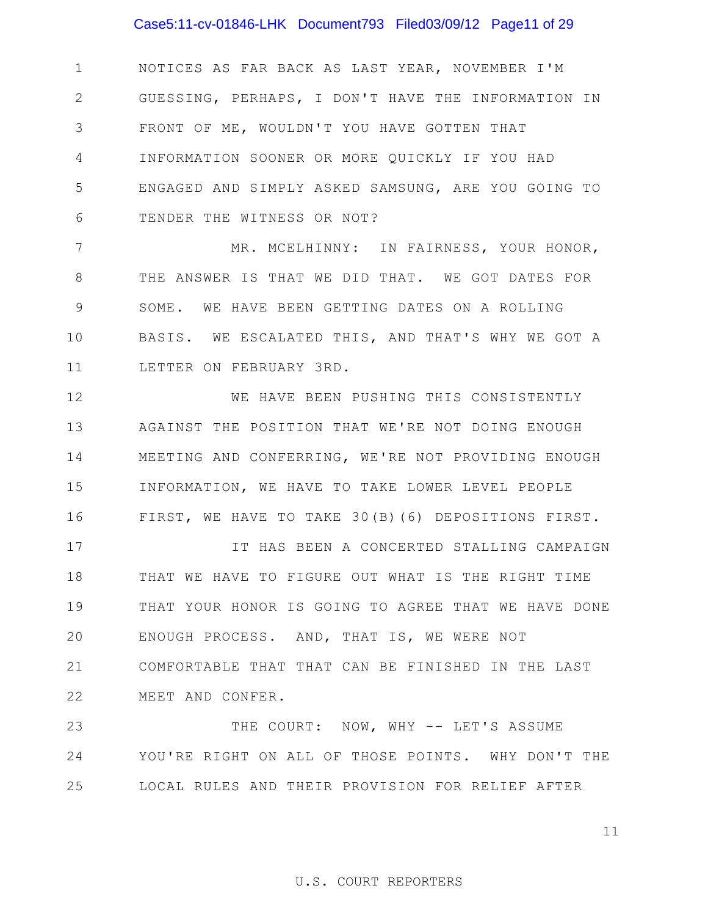## Case5:11-cv-01846-LHK Document793 Filed03/09/12 Page11 of 29

1 2 3 4 5 6 NOTICES AS FAR BACK AS LAST YEAR, NOVEMBER I'M GUESSING, PERHAPS, I DON'T HAVE THE INFORMATION IN FRONT OF ME, WOULDN'T YOU HAVE GOTTEN THAT INFORMATION SOONER OR MORE QUICKLY IF YOU HAD ENGAGED AND SIMPLY ASKED SAMSUNG, ARE YOU GOING TO TENDER THE WITNESS OR NOT?

7 8 9 10 11 MR. MCELHINNY: IN FAIRNESS, YOUR HONOR, THE ANSWER IS THAT WE DID THAT. WE GOT DATES FOR SOME. WE HAVE BEEN GETTING DATES ON A ROLLING BASIS. WE ESCALATED THIS, AND THAT'S WHY WE GOT A LETTER ON FEBRUARY 3RD.

12 13 14 15 16 WE HAVE BEEN PUSHING THIS CONSISTENTLY AGAINST THE POSITION THAT WE'RE NOT DOING ENOUGH MEETING AND CONFERRING, WE'RE NOT PROVIDING ENOUGH INFORMATION, WE HAVE TO TAKE LOWER LEVEL PEOPLE FIRST, WE HAVE TO TAKE 30(B)(6) DEPOSITIONS FIRST.

17 18 19 20 21 22 IT HAS BEEN A CONCERTED STALLING CAMPAIGN THAT WE HAVE TO FIGURE OUT WHAT IS THE RIGHT TIME THAT YOUR HONOR IS GOING TO AGREE THAT WE HAVE DONE ENOUGH PROCESS. AND, THAT IS, WE WERE NOT COMFORTABLE THAT THAT CAN BE FINISHED IN THE LAST MEET AND CONFER.

23 24 25 THE COURT: NOW, WHY -- LET'S ASSUME YOU'RE RIGHT ON ALL OF THOSE POINTS. WHY DON'T THE LOCAL RULES AND THEIR PROVISION FOR RELIEF AFTER

11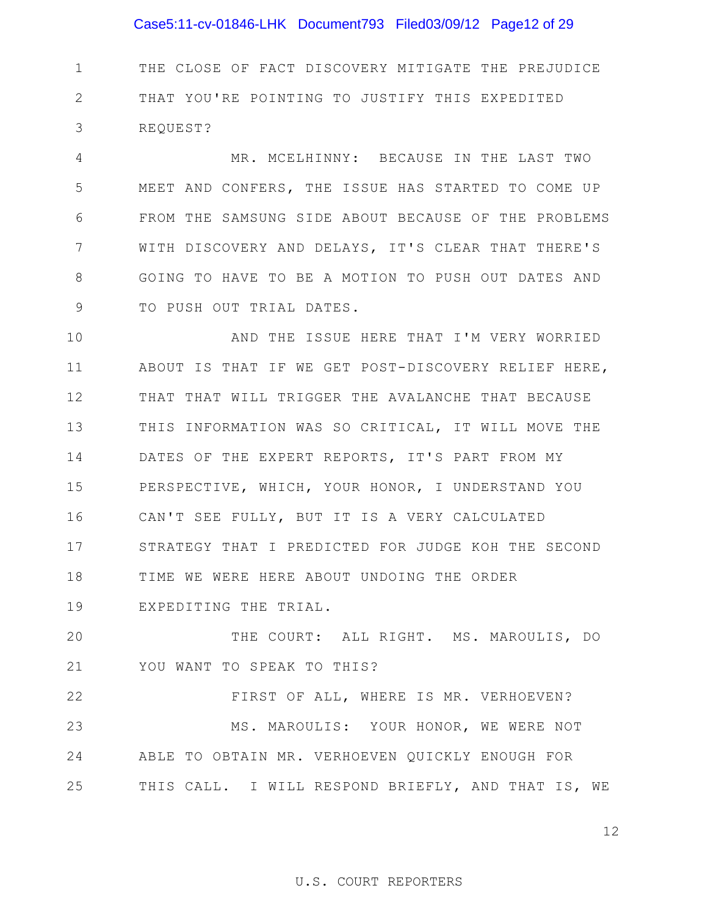## Case5:11-cv-01846-LHK Document793 Filed03/09/12 Page12 of 29

1 2 3 THE CLOSE OF FACT DISCOVERY MITIGATE THE PREJUDICE THAT YOU'RE POINTING TO JUSTIFY THIS EXPEDITED REQUEST?

4 5 6 7 8 9 MR. MCELHINNY: BECAUSE IN THE LAST TWO MEET AND CONFERS, THE ISSUE HAS STARTED TO COME UP FROM THE SAMSUNG SIDE ABOUT BECAUSE OF THE PROBLEMS WITH DISCOVERY AND DELAYS, IT'S CLEAR THAT THERE'S GOING TO HAVE TO BE A MOTION TO PUSH OUT DATES AND TO PUSH OUT TRIAL DATES.

10 11 12 13 14 15 16 17 18 19 AND THE ISSUE HERE THAT I'M VERY WORRIED ABOUT IS THAT IF WE GET POST-DISCOVERY RELIEF HERE, THAT THAT WILL TRIGGER THE AVALANCHE THAT BECAUSE THIS INFORMATION WAS SO CRITICAL, IT WILL MOVE THE DATES OF THE EXPERT REPORTS, IT'S PART FROM MY PERSPECTIVE, WHICH, YOUR HONOR, I UNDERSTAND YOU CAN'T SEE FULLY, BUT IT IS A VERY CALCULATED STRATEGY THAT I PREDICTED FOR JUDGE KOH THE SECOND TIME WE WERE HERE ABOUT UNDOING THE ORDER EXPEDITING THE TRIAL.

20 21 THE COURT: ALL RIGHT. MS. MAROULIS, DO YOU WANT TO SPEAK TO THIS?

22 23 24 25 FIRST OF ALL, WHERE IS MR. VERHOEVEN? MS. MAROULIS: YOUR HONOR, WE WERE NOT ABLE TO OBTAIN MR. VERHOEVEN QUICKLY ENOUGH FOR THIS CALL. I WILL RESPOND BRIEFLY, AND THAT IS, WE

12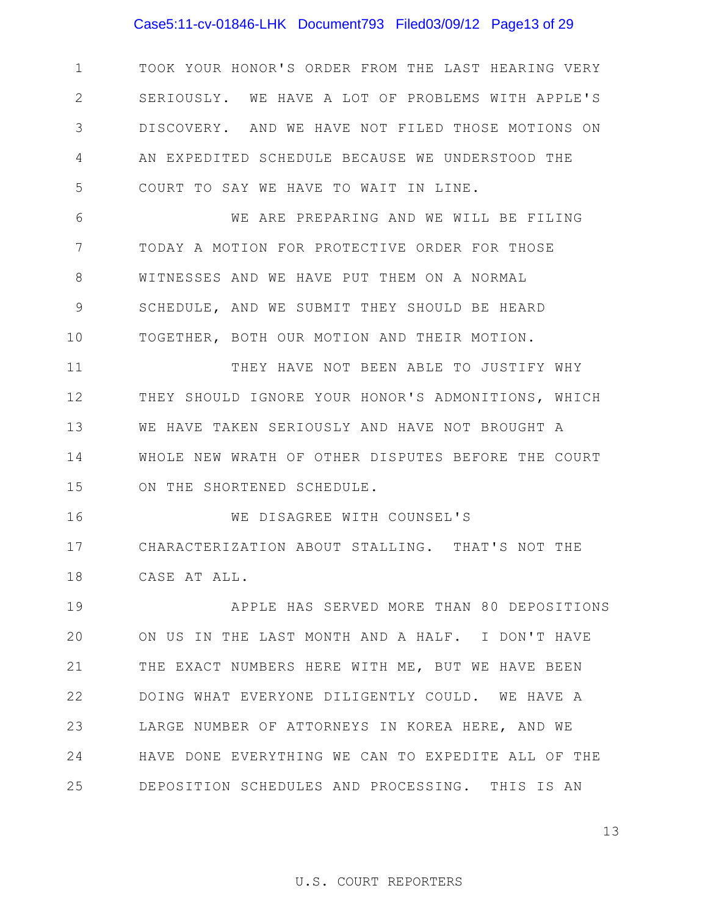## Case5:11-cv-01846-LHK Document793 Filed03/09/12 Page13 of 29

1 2 3 4 5 TOOK YOUR HONOR'S ORDER FROM THE LAST HEARING VERY SERIOUSLY. WE HAVE A LOT OF PROBLEMS WITH APPLE'S DISCOVERY. AND WE HAVE NOT FILED THOSE MOTIONS ON AN EXPEDITED SCHEDULE BECAUSE WE UNDERSTOOD THE COURT TO SAY WE HAVE TO WAIT IN LINE.

6 7 8 9 10 WE ARE PREPARING AND WE WILL BE FILING TODAY A MOTION FOR PROTECTIVE ORDER FOR THOSE WITNESSES AND WE HAVE PUT THEM ON A NORMAL SCHEDULE, AND WE SUBMIT THEY SHOULD BE HEARD TOGETHER, BOTH OUR MOTION AND THEIR MOTION.

11 12 13 14 15 THEY HAVE NOT BEEN ABLE TO JUSTIFY WHY THEY SHOULD IGNORE YOUR HONOR'S ADMONITIONS, WHICH WE HAVE TAKEN SERIOUSLY AND HAVE NOT BROUGHT A WHOLE NEW WRATH OF OTHER DISPUTES BEFORE THE COURT ON THE SHORTENED SCHEDULE.

16 17 18 WE DISAGREE WITH COUNSEL'S CHARACTERIZATION ABOUT STALLING. THAT'S NOT THE CASE AT ALL.

19 20 21 22 23 24 25 APPLE HAS SERVED MORE THAN 80 DEPOSITIONS ON US IN THE LAST MONTH AND A HALF. I DON'T HAVE THE EXACT NUMBERS HERE WITH ME, BUT WE HAVE BEEN DOING WHAT EVERYONE DILIGENTLY COULD. WE HAVE A LARGE NUMBER OF ATTORNEYS IN KOREA HERE, AND WE HAVE DONE EVERYTHING WE CAN TO EXPEDITE ALL OF THE DEPOSITION SCHEDULES AND PROCESSING. THIS IS AN

13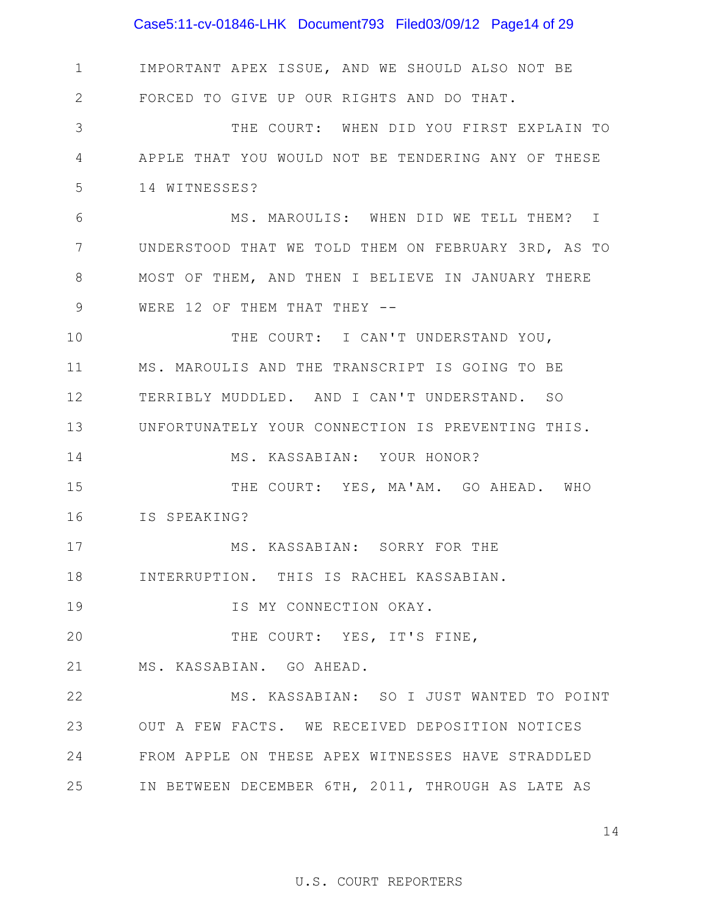## Case5:11-cv-01846-LHK Document793 Filed03/09/12 Page14 of 29

1 2 3 4 5 6 7 8 9 10 11 12 13 14 15 16 17 18 19 20 21 22 23 24 25 IN BETWEEN DECEMBER 6TH, 2011, THROUGH AS LATE AS IMPORTANT APEX ISSUE, AND WE SHOULD ALSO NOT BE FORCED TO GIVE UP OUR RIGHTS AND DO THAT. THE COURT: WHEN DID YOU FIRST EXPLAIN TO APPLE THAT YOU WOULD NOT BE TENDERING ANY OF THESE 14 WITNESSES? MS. MAROULIS: WHEN DID WE TELL THEM? I UNDERSTOOD THAT WE TOLD THEM ON FEBRUARY 3RD, AS TO MOST OF THEM, AND THEN I BELIEVE IN JANUARY THERE WERE 12 OF THEM THAT THEY -- THE COURT: I CAN'T UNDERSTAND YOU, MS. MAROULIS AND THE TRANSCRIPT IS GOING TO BE TERRIBLY MUDDLED. AND I CAN'T UNDERSTAND. SO UNFORTUNATELY YOUR CONNECTION IS PREVENTING THIS. MS. KASSABIAN: YOUR HONOR? THE COURT: YES, MA'AM. GO AHEAD. WHO IS SPEAKING? MS. KASSABIAN: SORRY FOR THE INTERRUPTION. THIS IS RACHEL KASSABIAN. IS MY CONNECTION OKAY. THE COURT: YES, IT'S FINE, MS. KASSABIAN. GO AHEAD. MS. KASSABIAN: SO I JUST WANTED TO POINT OUT A FEW FACTS. WE RECEIVED DEPOSITION NOTICES FROM APPLE ON THESE APEX WITNESSES HAVE STRADDLED

14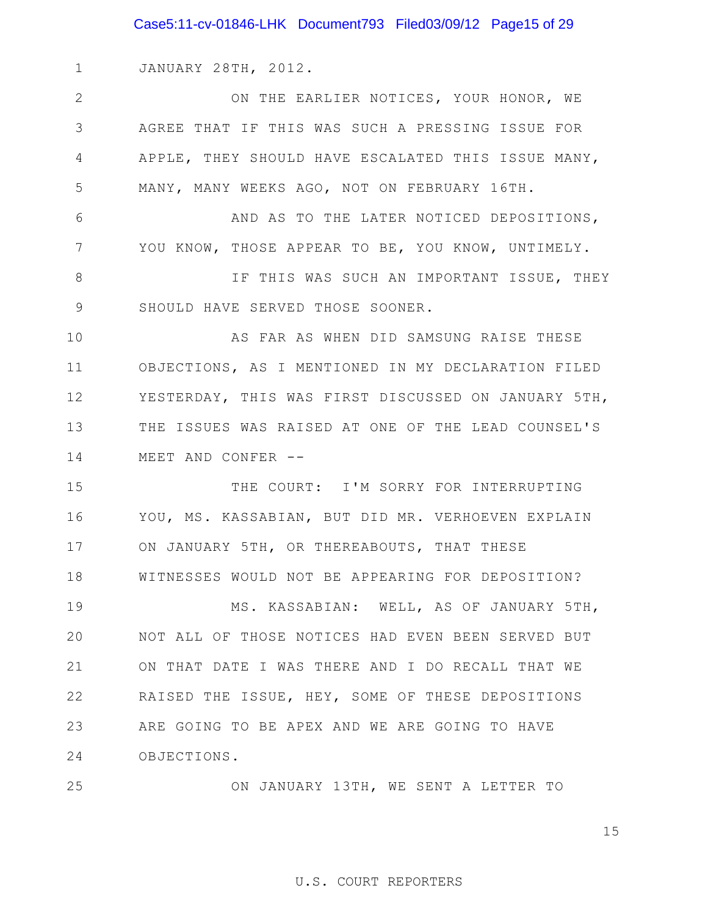Case5:11-cv-01846-LHK Document793 Filed03/09/12 Page15 of 29

1 JANUARY 28TH, 2012.

2 3 4 5 ON THE EARLIER NOTICES, YOUR HONOR, WE AGREE THAT IF THIS WAS SUCH A PRESSING ISSUE FOR APPLE, THEY SHOULD HAVE ESCALATED THIS ISSUE MANY, MANY, MANY WEEKS AGO, NOT ON FEBRUARY 16TH.

6 7 AND AS TO THE LATER NOTICED DEPOSITIONS, YOU KNOW, THOSE APPEAR TO BE, YOU KNOW, UNTIMELY.

8 9 IF THIS WAS SUCH AN IMPORTANT ISSUE, THEY SHOULD HAVE SERVED THOSE SOONER.

10 11 12 13 14 AS FAR AS WHEN DID SAMSUNG RAISE THESE OBJECTIONS, AS I MENTIONED IN MY DECLARATION FILED YESTERDAY, THIS WAS FIRST DISCUSSED ON JANUARY 5TH, THE ISSUES WAS RAISED AT ONE OF THE LEAD COUNSEL'S MEET AND CONFER --

15 16 17 18 THE COURT: I'M SORRY FOR INTERRUPTING YOU, MS. KASSABIAN, BUT DID MR. VERHOEVEN EXPLAIN ON JANUARY 5TH, OR THEREABOUTS, THAT THESE WITNESSES WOULD NOT BE APPEARING FOR DEPOSITION?

19 20 21 22 23 24 MS. KASSABIAN: WELL, AS OF JANUARY 5TH, NOT ALL OF THOSE NOTICES HAD EVEN BEEN SERVED BUT ON THAT DATE I WAS THERE AND I DO RECALL THAT WE RAISED THE ISSUE, HEY, SOME OF THESE DEPOSITIONS ARE GOING TO BE APEX AND WE ARE GOING TO HAVE OBJECTIONS.

25 ON JANUARY 13TH, WE SENT A LETTER TO

15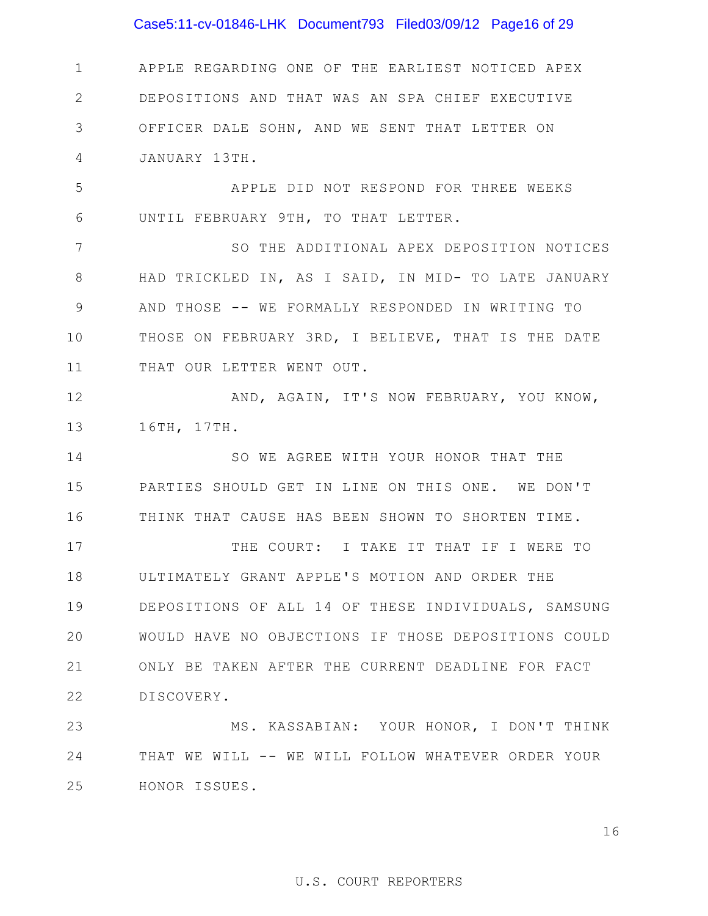## Case5:11-cv-01846-LHK Document793 Filed03/09/12 Page16 of 29

1 2 3 4 APPLE REGARDING ONE OF THE EARLIEST NOTICED APEX DEPOSITIONS AND THAT WAS AN SPA CHIEF EXECUTIVE OFFICER DALE SOHN, AND WE SENT THAT LETTER ON JANUARY 13TH.

5 6 APPLE DID NOT RESPOND FOR THREE WEEKS UNTIL FEBRUARY 9TH, TO THAT LETTER.

7 8 9 10 11 SO THE ADDITIONAL APEX DEPOSITION NOTICES HAD TRICKLED IN, AS I SAID, IN MID- TO LATE JANUARY AND THOSE -- WE FORMALLY RESPONDED IN WRITING TO THOSE ON FEBRUARY 3RD, I BELIEVE, THAT IS THE DATE THAT OUR LETTER WENT OUT.

12 13 AND, AGAIN, IT'S NOW FEBRUARY, YOU KNOW, 16TH, 17TH.

14 15 16 SO WE AGREE WITH YOUR HONOR THAT THE PARTIES SHOULD GET IN LINE ON THIS ONE. WE DON'T THINK THAT CAUSE HAS BEEN SHOWN TO SHORTEN TIME.

17 18 19 20 21 22 THE COURT: I TAKE IT THAT IF I WERE TO ULTIMATELY GRANT APPLE'S MOTION AND ORDER THE DEPOSITIONS OF ALL 14 OF THESE INDIVIDUALS, SAMSUNG WOULD HAVE NO OBJECTIONS IF THOSE DEPOSITIONS COULD ONLY BE TAKEN AFTER THE CURRENT DEADLINE FOR FACT DISCOVERY.

23 24 25 MS. KASSABIAN: YOUR HONOR, I DON'T THINK THAT WE WILL -- WE WILL FOLLOW WHATEVER ORDER YOUR HONOR ISSUES.

16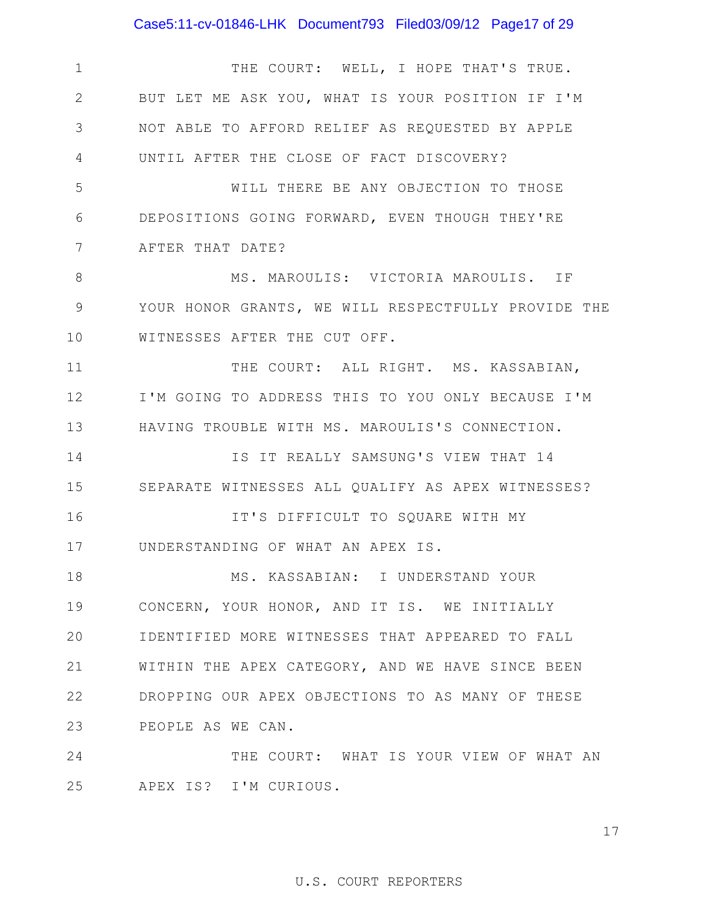## Case5:11-cv-01846-LHK Document793 Filed03/09/12 Page17 of 29

1 2 3 4 5 6 7 8 9 10 11 12 13 14 15 16 17 18 19 20 21 22 23 24 25 THE COURT: WELL, I HOPE THAT'S TRUE. BUT LET ME ASK YOU, WHAT IS YOUR POSITION IF I'M NOT ABLE TO AFFORD RELIEF AS REQUESTED BY APPLE UNTIL AFTER THE CLOSE OF FACT DISCOVERY? WILL THERE BE ANY OBJECTION TO THOSE DEPOSITIONS GOING FORWARD, EVEN THOUGH THEY'RE AFTER THAT DATE? MS. MAROULIS: VICTORIA MAROULIS. IF YOUR HONOR GRANTS, WE WILL RESPECTFULLY PROVIDE THE WITNESSES AFTER THE CUT OFF. THE COURT: ALL RIGHT. MS. KASSABIAN, I'M GOING TO ADDRESS THIS TO YOU ONLY BECAUSE I'M HAVING TROUBLE WITH MS. MAROULIS'S CONNECTION. IS IT REALLY SAMSUNG'S VIEW THAT 14 SEPARATE WITNESSES ALL QUALIFY AS APEX WITNESSES? IT'S DIFFICULT TO SQUARE WITH MY UNDERSTANDING OF WHAT AN APEX IS. MS. KASSABIAN: I UNDERSTAND YOUR CONCERN, YOUR HONOR, AND IT IS. WE INITIALLY IDENTIFIED MORE WITNESSES THAT APPEARED TO FALL WITHIN THE APEX CATEGORY, AND WE HAVE SINCE BEEN DROPPING OUR APEX OBJECTIONS TO AS MANY OF THESE PEOPLE AS WE CAN. THE COURT: WHAT IS YOUR VIEW OF WHAT AN APEX IS? I'M CURIOUS.

17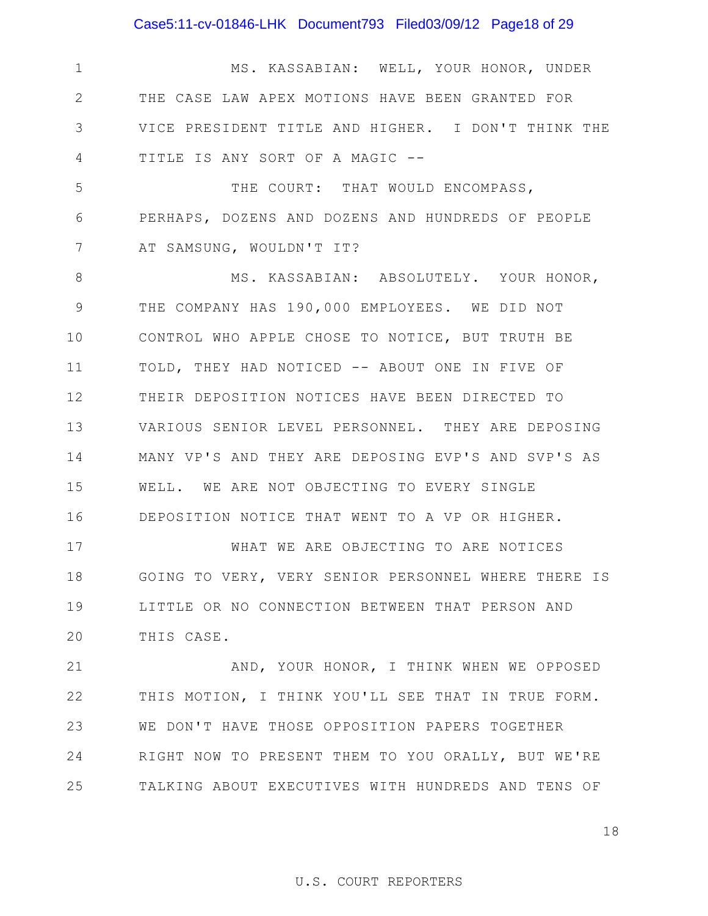## Case5:11-cv-01846-LHK Document793 Filed03/09/12 Page18 of 29

1 2 3 4 MS. KASSABIAN: WELL, YOUR HONOR, UNDER THE CASE LAW APEX MOTIONS HAVE BEEN GRANTED FOR VICE PRESIDENT TITLE AND HIGHER. I DON'T THINK THE TITLE IS ANY SORT OF A MAGIC --

5 6 7 THE COURT: THAT WOULD ENCOMPASS, PERHAPS, DOZENS AND DOZENS AND HUNDREDS OF PEOPLE AT SAMSUNG, WOULDN'T IT?

8 9 10 11 12 13 14 15 16 MS. KASSABIAN: ABSOLUTELY. YOUR HONOR, THE COMPANY HAS 190,000 EMPLOYEES. WE DID NOT CONTROL WHO APPLE CHOSE TO NOTICE, BUT TRUTH BE TOLD, THEY HAD NOTICED -- ABOUT ONE IN FIVE OF THEIR DEPOSITION NOTICES HAVE BEEN DIRECTED TO VARIOUS SENIOR LEVEL PERSONNEL. THEY ARE DEPOSING MANY VP'S AND THEY ARE DEPOSING EVP'S AND SVP'S AS WELL. WE ARE NOT OBJECTING TO EVERY SINGLE DEPOSITION NOTICE THAT WENT TO A VP OR HIGHER.

17 18 19 20 WHAT WE ARE OBJECTING TO ARE NOTICES GOING TO VERY, VERY SENIOR PERSONNEL WHERE THERE IS LITTLE OR NO CONNECTION BETWEEN THAT PERSON AND THIS CASE.

21 22 23 24 25 AND, YOUR HONOR, I THINK WHEN WE OPPOSED THIS MOTION, I THINK YOU'LL SEE THAT IN TRUE FORM. WE DON'T HAVE THOSE OPPOSITION PAPERS TOGETHER RIGHT NOW TO PRESENT THEM TO YOU ORALLY, BUT WE'RE TALKING ABOUT EXECUTIVES WITH HUNDREDS AND TENS OF

18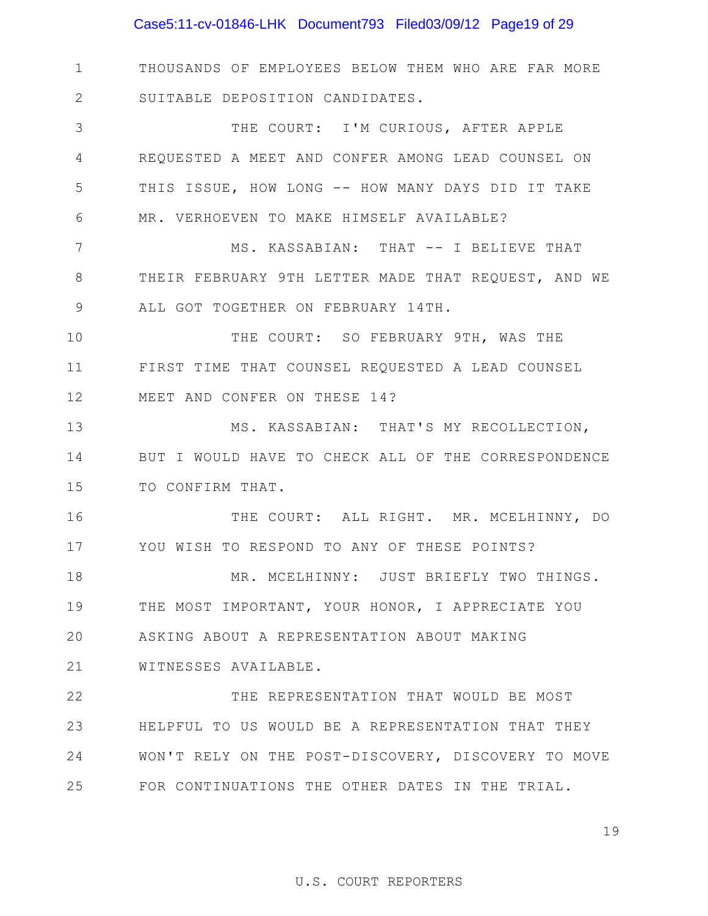## Case5:11-cv-01846-LHK Document793 Filed03/09/12 Page19 of 29

1 2 THOUSANDS OF EMPLOYEES BELOW THEM WHO ARE FAR MORE SUITABLE DEPOSITION CANDIDATES.

3 4 5 6 THE COURT: I'M CURIOUS, AFTER APPLE REQUESTED A MEET AND CONFER AMONG LEAD COUNSEL ON THIS ISSUE, HOW LONG -- HOW MANY DAYS DID IT TAKE MR. VERHOEVEN TO MAKE HIMSELF AVAILABLE?

7 8 9 MS. KASSABIAN: THAT -- I BELIEVE THAT THEIR FEBRUARY 9TH LETTER MADE THAT REQUEST, AND WE ALL GOT TOGETHER ON FEBRUARY 14TH.

10 11 12 THE COURT: SO FEBRUARY 9TH, WAS THE FIRST TIME THAT COUNSEL REQUESTED A LEAD COUNSEL MEET AND CONFER ON THESE 14?

13 14 15 MS. KASSABIAN: THAT'S MY RECOLLECTION, BUT I WOULD HAVE TO CHECK ALL OF THE CORRESPONDENCE TO CONFIRM THAT.

16 17 THE COURT: ALL RIGHT. MR. MCELHINNY, DO YOU WISH TO RESPOND TO ANY OF THESE POINTS?

18 19 20 MR. MCELHINNY: JUST BRIEFLY TWO THINGS. THE MOST IMPORTANT, YOUR HONOR, I APPRECIATE YOU ASKING ABOUT A REPRESENTATION ABOUT MAKING

21 WITNESSES AVAILABLE.

22 23 24 25 THE REPRESENTATION THAT WOULD BE MOST HELPFUL TO US WOULD BE A REPRESENTATION THAT THEY WON'T RELY ON THE POST-DISCOVERY, DISCOVERY TO MOVE FOR CONTINUATIONS THE OTHER DATES IN THE TRIAL.

19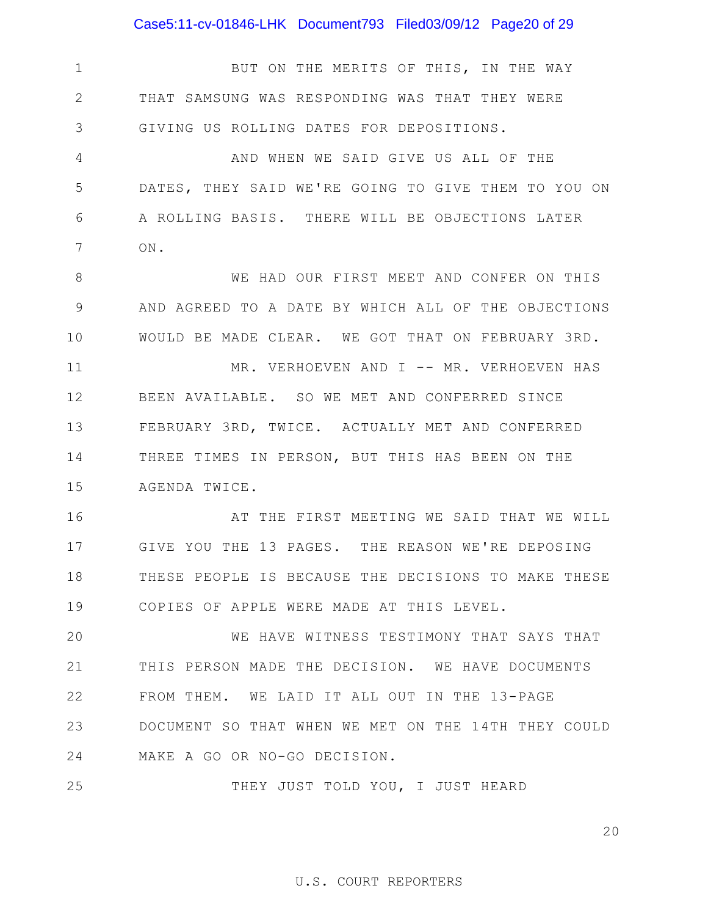Case5:11-cv-01846-LHK Document793 Filed03/09/12 Page20 of 29

1 2 3 4 5 6 7 8 9 10 11 12 13 14 15 16 17 18 19 20 21 22 23 24 25 BUT ON THE MERITS OF THIS, IN THE WAY THAT SAMSUNG WAS RESPONDING WAS THAT THEY WERE GIVING US ROLLING DATES FOR DEPOSITIONS. AND WHEN WE SAID GIVE US ALL OF THE DATES, THEY SAID WE'RE GOING TO GIVE THEM TO YOU ON A ROLLING BASIS. THERE WILL BE OBJECTIONS LATER ON. WE HAD OUR FIRST MEET AND CONFER ON THIS AND AGREED TO A DATE BY WHICH ALL OF THE OBJECTIONS WOULD BE MADE CLEAR. WE GOT THAT ON FEBRUARY 3RD. MR. VERHOEVEN AND I -- MR. VERHOEVEN HAS BEEN AVAILABLE. SO WE MET AND CONFERRED SINCE FEBRUARY 3RD, TWICE. ACTUALLY MET AND CONFERRED THREE TIMES IN PERSON, BUT THIS HAS BEEN ON THE AGENDA TWICE. AT THE FIRST MEETING WE SAID THAT WE WILL GIVE YOU THE 13 PAGES. THE REASON WE'RE DEPOSING THESE PEOPLE IS BECAUSE THE DECISIONS TO MAKE THESE COPIES OF APPLE WERE MADE AT THIS LEVEL. WE HAVE WITNESS TESTIMONY THAT SAYS THAT THIS PERSON MADE THE DECISION. WE HAVE DOCUMENTS FROM THEM. WE LAID IT ALL OUT IN THE 13-PAGE DOCUMENT SO THAT WHEN WE MET ON THE 14TH THEY COULD MAKE A GO OR NO-GO DECISION. THEY JUST TOLD YOU, I JUST HEARD

20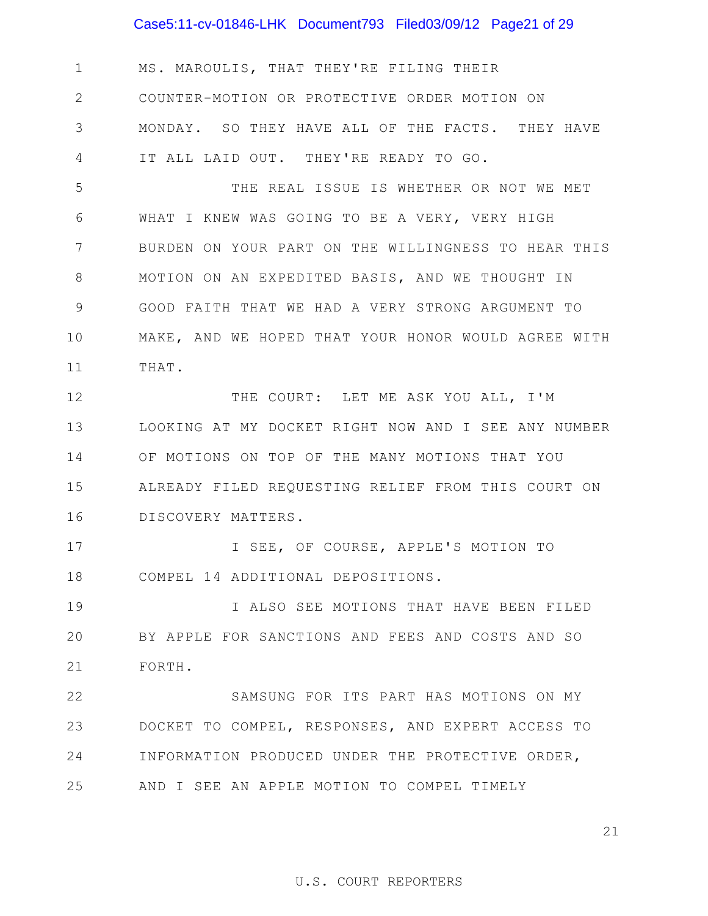## Case5:11-cv-01846-LHK Document793 Filed03/09/12 Page21 of 29

1 2 3 4 MS. MAROULIS, THAT THEY'RE FILING THEIR COUNTER-MOTION OR PROTECTIVE ORDER MOTION ON MONDAY. SO THEY HAVE ALL OF THE FACTS. THEY HAVE IT ALL LAID OUT. THEY'RE READY TO GO.

5 6 7 8 9 10 11 THE REAL ISSUE IS WHETHER OR NOT WE MET WHAT I KNEW WAS GOING TO BE A VERY, VERY HIGH BURDEN ON YOUR PART ON THE WILLINGNESS TO HEAR THIS MOTION ON AN EXPEDITED BASIS, AND WE THOUGHT IN GOOD FAITH THAT WE HAD A VERY STRONG ARGUMENT TO MAKE, AND WE HOPED THAT YOUR HONOR WOULD AGREE WITH THAT.

12 13 14 15 16 THE COURT: LET ME ASK YOU ALL, I'M LOOKING AT MY DOCKET RIGHT NOW AND I SEE ANY NUMBER OF MOTIONS ON TOP OF THE MANY MOTIONS THAT YOU ALREADY FILED REQUESTING RELIEF FROM THIS COURT ON DISCOVERY MATTERS.

17 18 I SEE, OF COURSE, APPLE'S MOTION TO COMPEL 14 ADDITIONAL DEPOSITIONS.

19 20 21 I ALSO SEE MOTIONS THAT HAVE BEEN FILED BY APPLE FOR SANCTIONS AND FEES AND COSTS AND SO FORTH.

22 23 24 25 SAMSUNG FOR ITS PART HAS MOTIONS ON MY DOCKET TO COMPEL, RESPONSES, AND EXPERT ACCESS TO INFORMATION PRODUCED UNDER THE PROTECTIVE ORDER, AND I SEE AN APPLE MOTION TO COMPEL TIMELY

21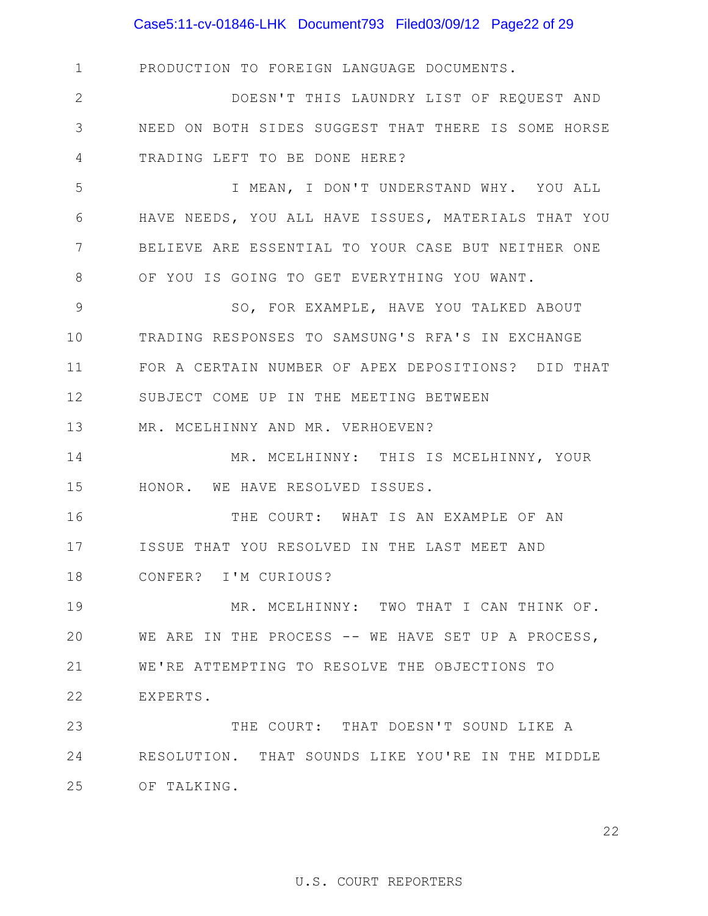## Case5:11-cv-01846-LHK Document793 Filed03/09/12 Page22 of 29

1 2 3 4 5 6 7 8 9 10 11 12 13 14 15 16 17 18 19 20 21 22 23 24 25 OF TALKING. PRODUCTION TO FOREIGN LANGUAGE DOCUMENTS. DOESN'T THIS LAUNDRY LIST OF REQUEST AND NEED ON BOTH SIDES SUGGEST THAT THERE IS SOME HORSE TRADING LEFT TO BE DONE HERE? I MEAN, I DON'T UNDERSTAND WHY. YOU ALL HAVE NEEDS, YOU ALL HAVE ISSUES, MATERIALS THAT YOU BELIEVE ARE ESSENTIAL TO YOUR CASE BUT NEITHER ONE OF YOU IS GOING TO GET EVERYTHING YOU WANT. SO, FOR EXAMPLE, HAVE YOU TALKED ABOUT TRADING RESPONSES TO SAMSUNG'S RFA'S IN EXCHANGE FOR A CERTAIN NUMBER OF APEX DEPOSITIONS? DID THAT SUBJECT COME UP IN THE MEETING BETWEEN MR. MCELHINNY AND MR. VERHOEVEN? MR. MCELHINNY: THIS IS MCELHINNY, YOUR HONOR. WE HAVE RESOLVED ISSUES. THE COURT: WHAT IS AN EXAMPLE OF AN ISSUE THAT YOU RESOLVED IN THE LAST MEET AND CONFER? I'M CURIOUS? MR. MCELHINNY: TWO THAT I CAN THINK OF. WE ARE IN THE PROCESS -- WE HAVE SET UP A PROCESS, WE'RE ATTEMPTING TO RESOLVE THE OBJECTIONS TO EXPERTS. THE COURT: THAT DOESN'T SOUND LIKE A RESOLUTION. THAT SOUNDS LIKE YOU'RE IN THE MIDDLE

22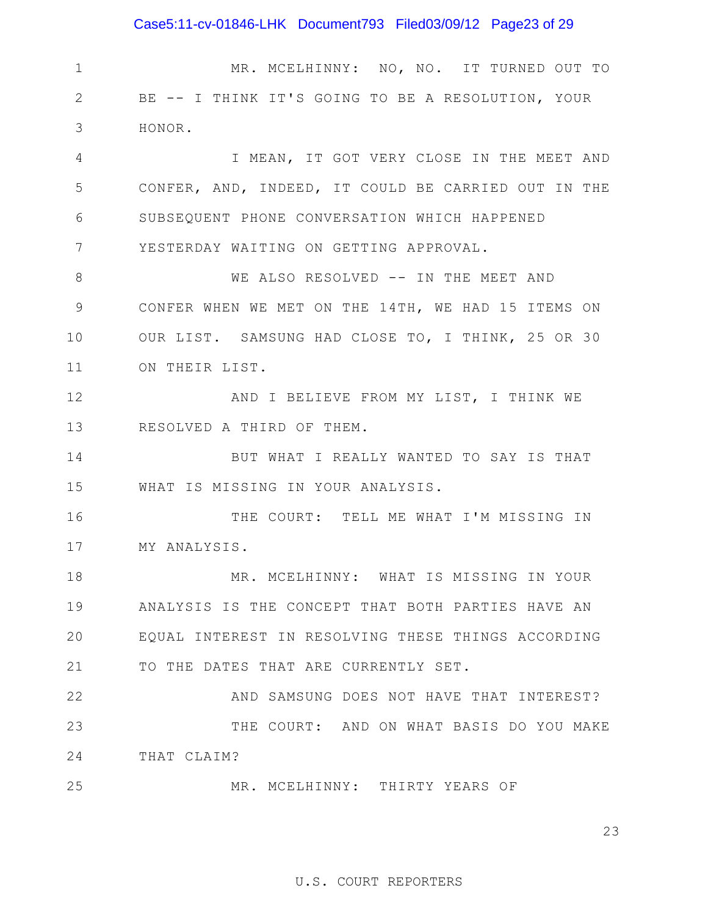## Case5:11-cv-01846-LHK Document793 Filed03/09/12 Page23 of 29

1 2 3 4 5 6 7 8 9 10 11 12 13 14 15 16 17 18 19 20 21 22 23 24 25 MR. MCELHINNY: NO, NO. IT TURNED OUT TO BE -- I THINK IT'S GOING TO BE A RESOLUTION, YOUR HONOR. I MEAN, IT GOT VERY CLOSE IN THE MEET AND CONFER, AND, INDEED, IT COULD BE CARRIED OUT IN THE SUBSEQUENT PHONE CONVERSATION WHICH HAPPENED YESTERDAY WAITING ON GETTING APPROVAL. WE ALSO RESOLVED -- IN THE MEET AND CONFER WHEN WE MET ON THE 14TH, WE HAD 15 ITEMS ON OUR LIST. SAMSUNG HAD CLOSE TO, I THINK, 25 OR 30 ON THEIR LIST. AND I BELIEVE FROM MY LIST, I THINK WE RESOLVED A THIRD OF THEM. BUT WHAT I REALLY WANTED TO SAY IS THAT WHAT IS MISSING IN YOUR ANALYSIS. THE COURT: TELL ME WHAT I'M MISSING IN MY ANALYSIS. MR. MCELHINNY: WHAT IS MISSING IN YOUR ANALYSIS IS THE CONCEPT THAT BOTH PARTIES HAVE AN EQUAL INTEREST IN RESOLVING THESE THINGS ACCORDING TO THE DATES THAT ARE CURRENTLY SET. AND SAMSUNG DOES NOT HAVE THAT INTEREST? THE COURT: AND ON WHAT BASIS DO YOU MAKE THAT CLAIM? MR. MCELHINNY: THIRTY YEARS OF

23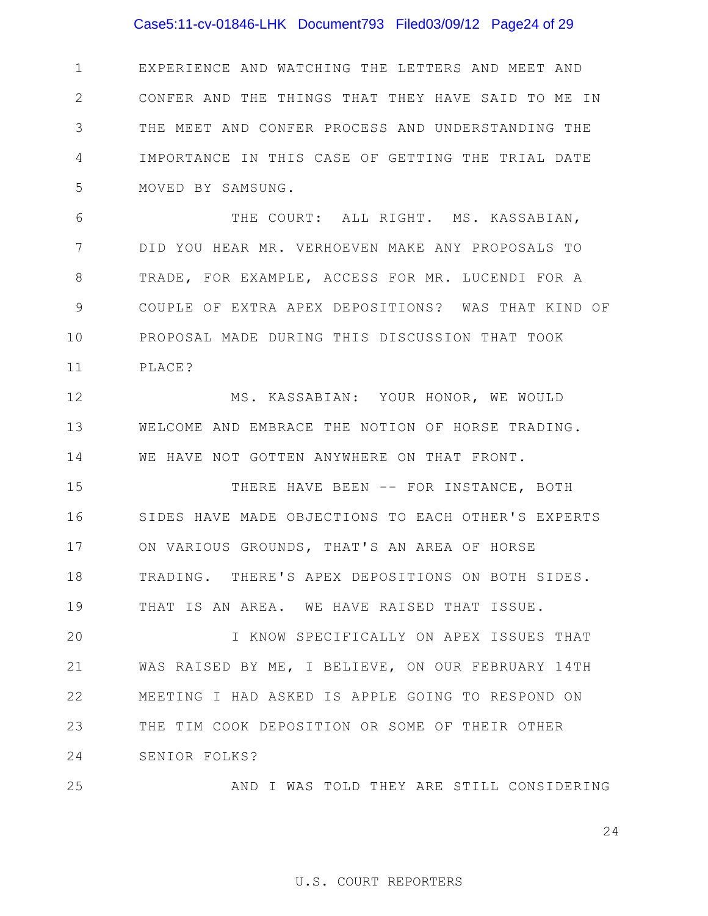## Case5:11-cv-01846-LHK Document793 Filed03/09/12 Page24 of 29

1 2 3 4 5 EXPERIENCE AND WATCHING THE LETTERS AND MEET AND CONFER AND THE THINGS THAT THEY HAVE SAID TO ME IN THE MEET AND CONFER PROCESS AND UNDERSTANDING THE IMPORTANCE IN THIS CASE OF GETTING THE TRIAL DATE MOVED BY SAMSUNG.

6 7 8 9 10 11 THE COURT: ALL RIGHT. MS. KASSABIAN, DID YOU HEAR MR. VERHOEVEN MAKE ANY PROPOSALS TO TRADE, FOR EXAMPLE, ACCESS FOR MR. LUCENDI FOR A COUPLE OF EXTRA APEX DEPOSITIONS? WAS THAT KIND OF PROPOSAL MADE DURING THIS DISCUSSION THAT TOOK PLACE?

12 13 14 MS. KASSABIAN: YOUR HONOR, WE WOULD WELCOME AND EMBRACE THE NOTION OF HORSE TRADING. WE HAVE NOT GOTTEN ANYWHERE ON THAT FRONT.

15 16 17 18 19 THERE HAVE BEEN -- FOR INSTANCE, BOTH SIDES HAVE MADE OBJECTIONS TO EACH OTHER'S EXPERTS ON VARIOUS GROUNDS, THAT'S AN AREA OF HORSE TRADING. THERE'S APEX DEPOSITIONS ON BOTH SIDES. THAT IS AN AREA. WE HAVE RAISED THAT ISSUE.

20 21 22 23 24 I KNOW SPECIFICALLY ON APEX ISSUES THAT WAS RAISED BY ME, I BELIEVE, ON OUR FEBRUARY 14TH MEETING I HAD ASKED IS APPLE GOING TO RESPOND ON THE TIM COOK DEPOSITION OR SOME OF THEIR OTHER SENIOR FOLKS?

#### 25 AND I WAS TOLD THEY ARE STILL CONSIDERING

24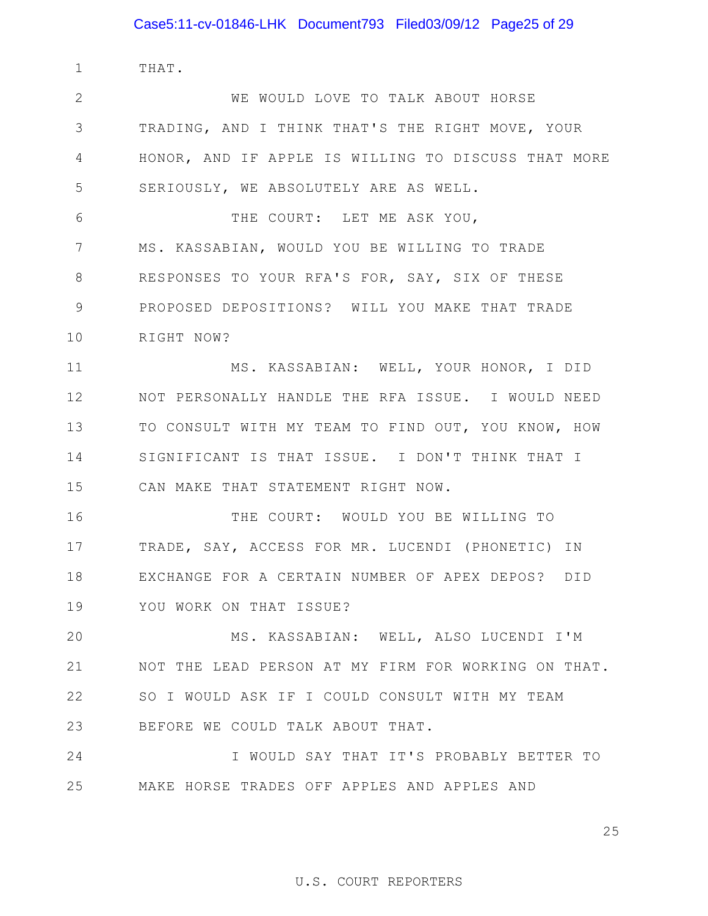1 THAT.

2 3 4 5 6 WE WOULD LOVE TO TALK ABOUT HORSE TRADING, AND I THINK THAT'S THE RIGHT MOVE, YOUR HONOR, AND IF APPLE IS WILLING TO DISCUSS THAT MORE SERIOUSLY, WE ABSOLUTELY ARE AS WELL. THE COURT: LET ME ASK YOU,

7 8 9 10 MS. KASSABIAN, WOULD YOU BE WILLING TO TRADE RESPONSES TO YOUR RFA'S FOR, SAY, SIX OF THESE PROPOSED DEPOSITIONS? WILL YOU MAKE THAT TRADE RIGHT NOW?

11 12 13 14 15 MS. KASSABIAN: WELL, YOUR HONOR, I DID NOT PERSONALLY HANDLE THE RFA ISSUE. I WOULD NEED TO CONSULT WITH MY TEAM TO FIND OUT, YOU KNOW, HOW SIGNIFICANT IS THAT ISSUE. I DON'T THINK THAT I CAN MAKE THAT STATEMENT RIGHT NOW.

16 17 18 19 THE COURT: WOULD YOU BE WILLING TO TRADE, SAY, ACCESS FOR MR. LUCENDI (PHONETIC) IN EXCHANGE FOR A CERTAIN NUMBER OF APEX DEPOS? DID YOU WORK ON THAT ISSUE?

20 21 22 23 MS. KASSABIAN: WELL, ALSO LUCENDI I'M NOT THE LEAD PERSON AT MY FIRM FOR WORKING ON THAT. SO I WOULD ASK IF I COULD CONSULT WITH MY TEAM BEFORE WE COULD TALK ABOUT THAT.

24 25 I WOULD SAY THAT IT'S PROBABLY BETTER TO MAKE HORSE TRADES OFF APPLES AND APPLES AND

25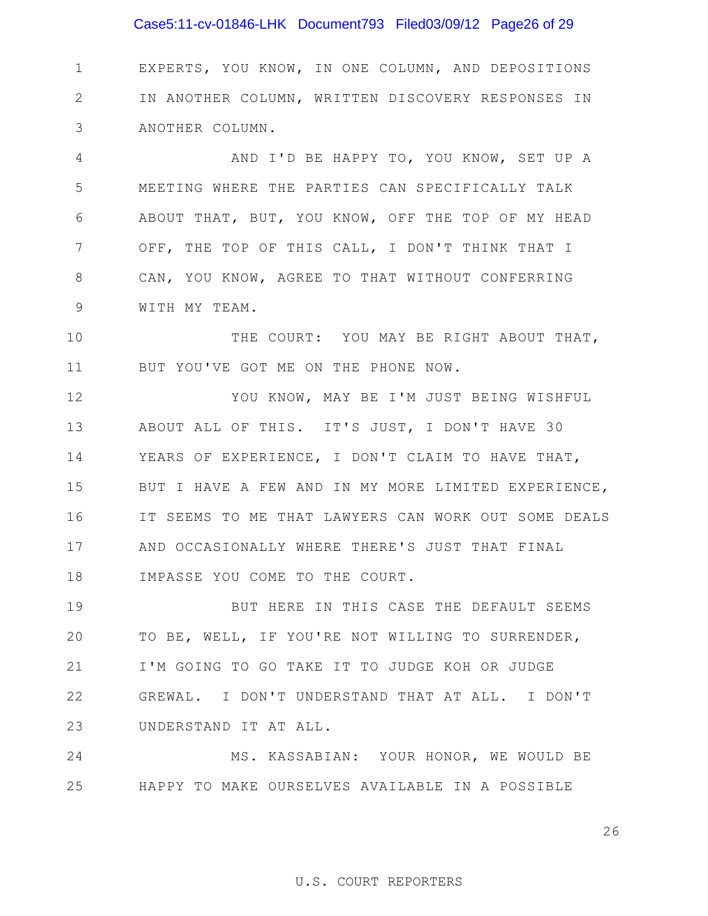## Case5:11-cv-01846-LHK Document793 Filed03/09/12 Page26 of 29

1 2 3 EXPERTS, YOU KNOW, IN ONE COLUMN, AND DEPOSITIONS IN ANOTHER COLUMN, WRITTEN DISCOVERY RESPONSES IN ANOTHER COLUMN.

4 5 6 7 8 9 AND I'D BE HAPPY TO, YOU KNOW, SET UP A MEETING WHERE THE PARTIES CAN SPECIFICALLY TALK ABOUT THAT, BUT, YOU KNOW, OFF THE TOP OF MY HEAD OFF, THE TOP OF THIS CALL, I DON'T THINK THAT I CAN, YOU KNOW, AGREE TO THAT WITHOUT CONFERRING WITH MY TEAM.

10 11 THE COURT: YOU MAY BE RIGHT ABOUT THAT, BUT YOU'VE GOT ME ON THE PHONE NOW.

12 13 14 15 16 17 18 YOU KNOW, MAY BE I'M JUST BEING WISHFUL ABOUT ALL OF THIS. IT'S JUST, I DON'T HAVE 30 YEARS OF EXPERIENCE, I DON'T CLAIM TO HAVE THAT, BUT I HAVE A FEW AND IN MY MORE LIMITED EXPERIENCE, IT SEEMS TO ME THAT LAWYERS CAN WORK OUT SOME DEALS AND OCCASIONALLY WHERE THERE'S JUST THAT FINAL IMPASSE YOU COME TO THE COURT.

19 20 21 22 23 BUT HERE IN THIS CASE THE DEFAULT SEEMS TO BE, WELL, IF YOU'RE NOT WILLING TO SURRENDER, I'M GOING TO GO TAKE IT TO JUDGE KOH OR JUDGE GREWAL. I DON'T UNDERSTAND THAT AT ALL. I DON'T UNDERSTAND IT AT ALL.

24 25 MS. KASSABIAN: YOUR HONOR, WE WOULD BE HAPPY TO MAKE OURSELVES AVAILABLE IN A POSSIBLE

26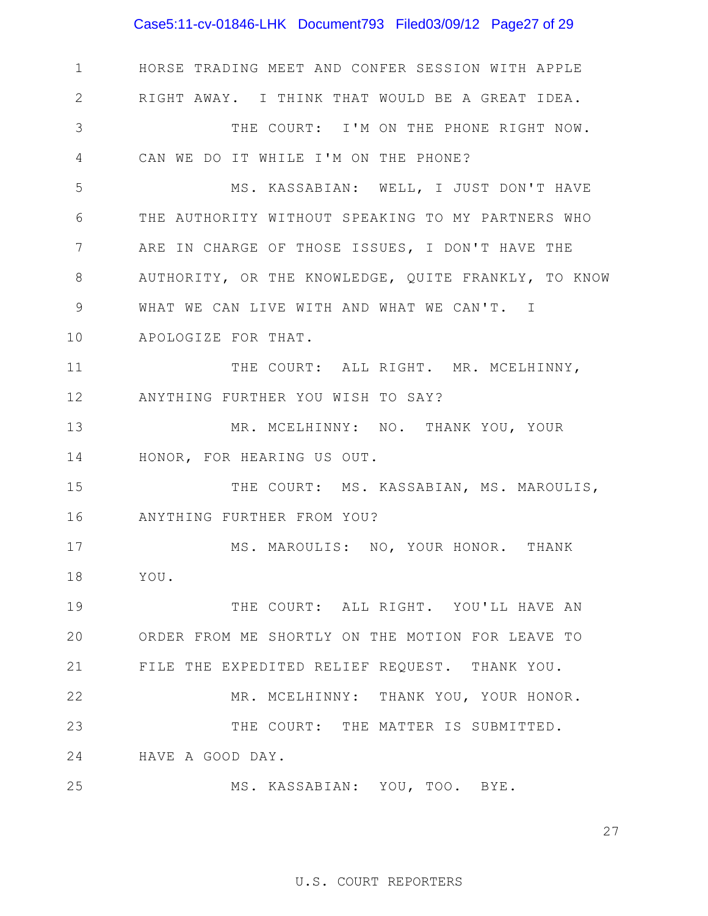Case5:11-cv-01846-LHK Document793 Filed03/09/12 Page27 of 29

1 2 3 4 5 6 7 8 9 10 11 12 13 14 15 16 17 18 19 20 21 22 23 24 25 HORSE TRADING MEET AND CONFER SESSION WITH APPLE RIGHT AWAY. I THINK THAT WOULD BE A GREAT IDEA. THE COURT: I'M ON THE PHONE RIGHT NOW. CAN WE DO IT WHILE I'M ON THE PHONE? MS. KASSABIAN: WELL, I JUST DON'T HAVE THE AUTHORITY WITHOUT SPEAKING TO MY PARTNERS WHO ARE IN CHARGE OF THOSE ISSUES, I DON'T HAVE THE AUTHORITY, OR THE KNOWLEDGE, QUITE FRANKLY, TO KNOW WHAT WE CAN LIVE WITH AND WHAT WE CAN'T. I APOLOGIZE FOR THAT. THE COURT: ALL RIGHT. MR. MCELHINNY, ANYTHING FURTHER YOU WISH TO SAY? MR. MCELHINNY: NO. THANK YOU, YOUR HONOR, FOR HEARING US OUT. THE COURT: MS. KASSABIAN, MS. MAROULIS, ANYTHING FURTHER FROM YOU? MS. MAROULIS: NO, YOUR HONOR. THANK YOU. THE COURT: ALL RIGHT. YOU'LL HAVE AN ORDER FROM ME SHORTLY ON THE MOTION FOR LEAVE TO FILE THE EXPEDITED RELIEF REQUEST. THANK YOU. MR. MCELHINNY: THANK YOU, YOUR HONOR. THE COURT: THE MATTER IS SUBMITTED. HAVE A GOOD DAY. MS. KASSABIAN: YOU, TOO. BYE.

27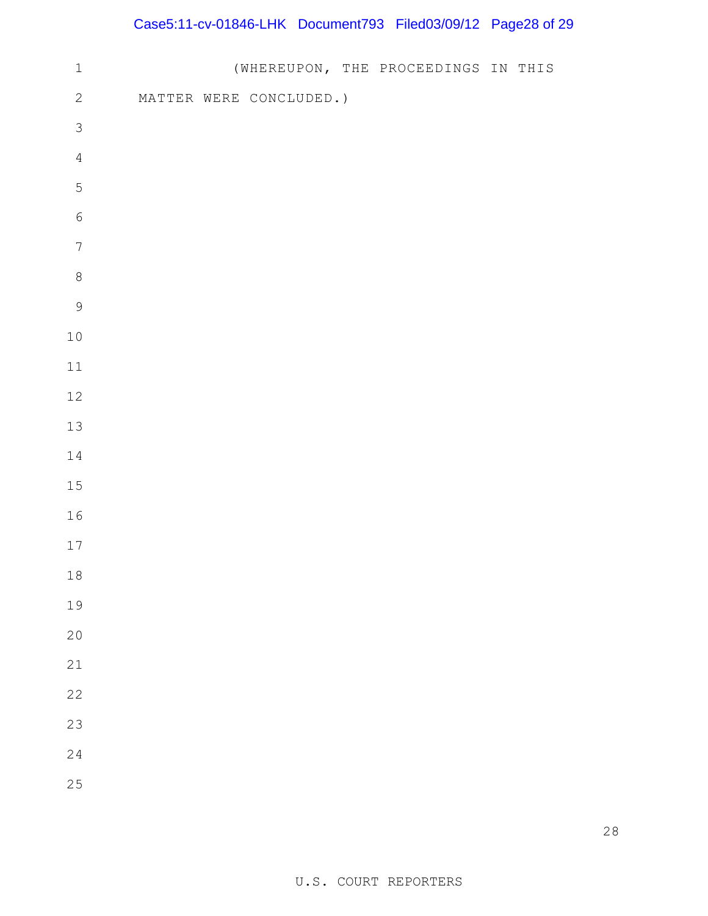## Case5:11-cv-01846-LHK Document793 Filed03/09/12 Page28 of 29

| $\,1\,$          |  |                         | (WHEREUPON, THE PROCEEDINGS IN THIS |  |  |
|------------------|--|-------------------------|-------------------------------------|--|--|
| $\sqrt{2}$       |  | MATTER WERE CONCLUDED.) |                                     |  |  |
| $\mathfrak{Z}$   |  |                         |                                     |  |  |
| $\sqrt{4}$       |  |                         |                                     |  |  |
| 5                |  |                         |                                     |  |  |
| $\sqrt{6}$       |  |                         |                                     |  |  |
| $\boldsymbol{7}$ |  |                         |                                     |  |  |
| $\,8\,$          |  |                         |                                     |  |  |
| 9                |  |                         |                                     |  |  |
| $1\,0$           |  |                         |                                     |  |  |
| $11\,$           |  |                         |                                     |  |  |
| $12\,$           |  |                         |                                     |  |  |
| $13$             |  |                         |                                     |  |  |
| $14\,$           |  |                         |                                     |  |  |
| 15               |  |                         |                                     |  |  |
| 16               |  |                         |                                     |  |  |
| $17$             |  |                         |                                     |  |  |
| $18\,$           |  |                         |                                     |  |  |
| 19               |  |                         |                                     |  |  |
| 20               |  |                         |                                     |  |  |
| 21               |  |                         |                                     |  |  |
| 22               |  |                         |                                     |  |  |
| 23               |  |                         |                                     |  |  |
| 24               |  |                         |                                     |  |  |
| 25               |  |                         |                                     |  |  |